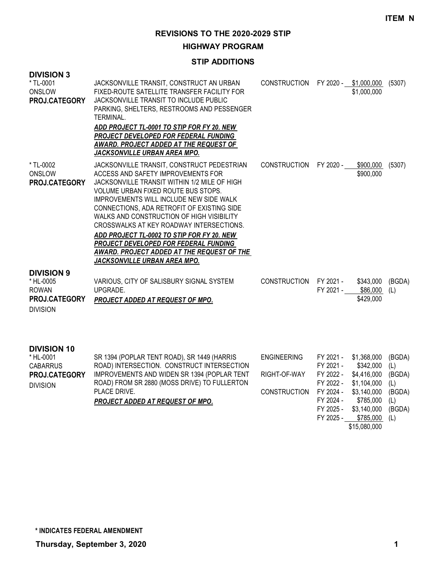#### **HIGHWAY PROGRAM**

#### **STIP ADDITIONS**

| <b>DIVISION 3</b><br>* TL-0001<br>ONSLOW<br>PROJ.CATEGORY                                 | JACKSONVILLE TRANSIT, CONSTRUCT AN URBAN<br>FIXED-ROUTE SATELLITE TRANSFER FACILITY FOR<br>JACKSONVILLE TRANSIT TO INCLUDE PUBLIC<br>PARKING, SHELTERS, RESTROOMS AND PESSENGER<br>TERMINAL.<br>ADD PROJECT TL-0001 TO STIP FOR FY 20. NEW<br>PROJECT DEVELOPED FOR FEDERAL FUNDING<br>AWARD. PROJECT ADDED AT THE REQUEST OF<br>JACKSONVILLE URBAN AREA MPO.                                                                                                                                                                  | CONSTRUCTION FY 2020 - \$1,000,000 |                                                  | \$1,000,000                                            | (5307)                         |
|-------------------------------------------------------------------------------------------|--------------------------------------------------------------------------------------------------------------------------------------------------------------------------------------------------------------------------------------------------------------------------------------------------------------------------------------------------------------------------------------------------------------------------------------------------------------------------------------------------------------------------------|------------------------------------|--------------------------------------------------|--------------------------------------------------------|--------------------------------|
| * TL-0002<br>ONSLOW<br>PROJ.CATEGORY                                                      | JACKSONVILLE TRANSIT, CONSTRUCT PEDESTRIAN<br>ACCESS AND SAFETY IMPROVEMENTS FOR<br>JACKSONVILLE TRANSIT WITHIN 1/2 MILE OF HIGH<br>VOLUME URBAN FIXED ROUTE BUS STOPS.<br>IMPROVEMENTS WILL INCLUDE NEW SIDE WALK<br>CONNECTIONS, ADA RETROFIT OF EXISTING SIDE<br>WALKS AND CONSTRUCTION OF HIGH VISIBILITY<br>CROSSWALKS AT KEY ROADWAY INTERSECTIONS.<br>ADD PROJECT TL-0002 TO STIP FOR FY 20. NEW<br>PROJECT DEVELOPED FOR FEDERAL FUNDING<br>AWARD. PROJECT ADDED AT THE REQUEST OF THE<br>JACKSONVILLE URBAN AREA MPO. | <b>CONSTRUCTION</b>                | FY 2020 -                                        | \$900,000<br>\$900,000                                 | (5307)                         |
| <b>DIVISION 9</b><br>* HL-0005<br><b>ROWAN</b><br><b>PROJ.CATEGORY</b><br><b>DIVISION</b> | VARIOUS, CITY OF SALISBURY SIGNAL SYSTEM<br>UPGRADE.<br>PROJECT ADDED AT REQUEST OF MPO.                                                                                                                                                                                                                                                                                                                                                                                                                                       | <b>CONSTRUCTION</b>                | FY 2021 -<br>FY 2021 -                           | \$343,000<br>\$86,000<br>\$429,000                     | (BGDA)<br>(L)                  |
| <b>DIVISION 10</b><br>* HL-0001<br><b>CABARRUS</b><br>PROJ.CATEGORY<br><b>DIVISION</b>    | SR 1394 (POPLAR TENT ROAD), SR 1449 (HARRIS<br>ROAD) INTERSECTION. CONSTRUCT INTERSECTION<br>IMPROVEMENTS AND WIDEN SR 1394 (POPLAR TENT<br>ROAD) FROM SR 2880 (MOSS DRIVE) TO FULLERTON                                                                                                                                                                                                                                                                                                                                       | <b>ENGINEERING</b><br>RIGHT-OF-WAY | FY 2021 -<br>FY 2021 -<br>FY 2022 -<br>FY 2022 - | \$1,368,000<br>\$342,000<br>\$4,416,000<br>\$1,104,000 | (BGDA)<br>(L)<br>(BGDA)<br>(L) |

DIVISION

PLACE DRIVE.

*PROJECT ADDED AT REQUEST OF MPO.*

CONSTRUCTION FY 2024 - \$3,140,000 (BGDA)

FY 2024 - \$785,000 (L) FY 2025 - \$3,140,000 (BGDA) FY 2025 - \$785,000 (L) \$15,080,000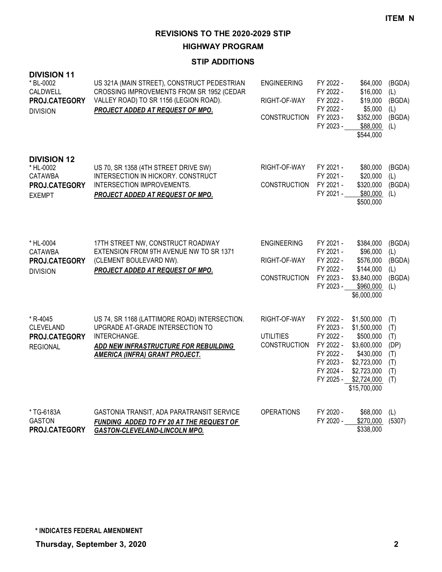**HIGHWAY PROGRAM**

# **STIP ADDITIONS**

| <b>DIVISION 11</b><br>* BL-0002<br>CALDWELL<br>PROJ.CATEGORY<br><b>DIVISION</b> | US 321A (MAIN STREET), CONSTRUCT PEDESTRIAN<br>CROSSING IMPROVEMENTS FROM SR 1952 (CEDAR<br>VALLEY ROAD) TO SR 1156 (LEGION ROAD).<br><b>PROJECT ADDED AT REQUEST OF MPO.</b>       | <b>ENGINEERING</b><br>RIGHT-OF-WAY<br><b>CONSTRUCTION</b> | FY 2022 -<br>FY 2022 -<br>FY 2022 -<br>FY 2022 -<br>FY 2023 -<br>FY 2023 -                           | \$64.000<br>\$16,000<br>\$19,000<br>\$5,000<br>\$352,000<br>\$88,000<br>\$544,000                                                | (BGDA)<br>(L)<br>(BGDA)<br>(L)<br>(BGDA)<br>(L)       |
|---------------------------------------------------------------------------------|-------------------------------------------------------------------------------------------------------------------------------------------------------------------------------------|-----------------------------------------------------------|------------------------------------------------------------------------------------------------------|----------------------------------------------------------------------------------------------------------------------------------|-------------------------------------------------------|
| <b>DIVISION 12</b><br>* HL-0002<br>CATAWBA<br>PROJ.CATEGORY<br><b>EXEMPT</b>    | US 70, SR 1358 (4TH STREET DRIVE SW)<br>INTERSECTION IN HICKORY. CONSTRUCT<br>INTERSECTION IMPROVEMENTS.<br>PROJECT ADDED AT REQUEST OF MPO.                                        | RIGHT-OF-WAY<br><b>CONSTRUCTION</b>                       | FY 2021 -<br>FY 2021 -<br>FY 2021 -<br>FY 2021 -                                                     | \$80,000<br>\$20,000<br>\$320,000<br>\$80,000<br>\$500,000                                                                       | (BGDA)<br>(L)<br>(BGDA)<br>(L)                        |
| * HL-0004<br><b>CATAWBA</b><br>PROJ.CATEGORY<br><b>DIVISION</b>                 | 17TH STREET NW, CONSTRUCT ROADWAY<br>EXTENSION FROM 9TH AVENUE NW TO SR 1371<br>(CLEMENT BOULEVARD NW).<br>PROJECT ADDED AT REQUEST OF MPO.                                         | <b>ENGINEERING</b><br>RIGHT-OF-WAY<br><b>CONSTRUCTION</b> | FY 2021 -<br>FY 2021 -<br>FY 2022 -<br>FY 2022 -<br>FY 2023 -<br>FY 2023 -                           | \$384,000<br>\$96,000<br>\$576,000<br>\$144,000<br>\$3,840,000<br>\$960,000<br>\$6,000,000                                       | (BGDA)<br>(L)<br>(BGDA)<br>(L)<br>(BGDA)<br>(L)       |
| * R-4045<br><b>CLEVELAND</b><br>PROJ.CATEGORY<br><b>REGIONAL</b>                | US 74, SR 1168 (LATTIMORE ROAD) INTERSECTION.<br>UPGRADE AT-GRADE INTERSECTION TO<br>INTERCHANGE.<br>ADD NEW INFRASTRUCTURE FOR REBUILDING<br><b>AMERICA (INFRA) GRANT PROJECT.</b> | RIGHT-OF-WAY<br><b>UTILITIES</b><br><b>CONSTRUCTION</b>   | FY 2022 -<br>FY 2023 -<br>FY 2022 -<br>FY 2022 -<br>FY 2022 -<br>FY 2023 -<br>FY 2024 -<br>FY 2025 - | \$1,500,000<br>\$1,500,000<br>\$500,000<br>\$3,600,000<br>\$430,000<br>\$2,723,000<br>\$2,723,000<br>\$2,724,000<br>\$15,700,000 | (T)<br>(T)<br>(T)<br>(DP)<br>(T)<br>(T)<br>(T)<br>(T) |
| * TG-6183A<br><b>GASTON</b><br>PROJ.CATEGORY                                    | GASTONIA TRANSIT, ADA PARATRANSIT SERVICE<br>FUNDING ADDED TO FY 20 AT THE REQUEST OF<br>GASTON-CLEVELAND-LINCOLN MPO.                                                              | <b>OPERATIONS</b>                                         | FY 2020 -<br>FY 2020 -                                                                               | \$68,000<br>\$270,000<br>\$338,000                                                                                               | (L)<br>(5307)                                         |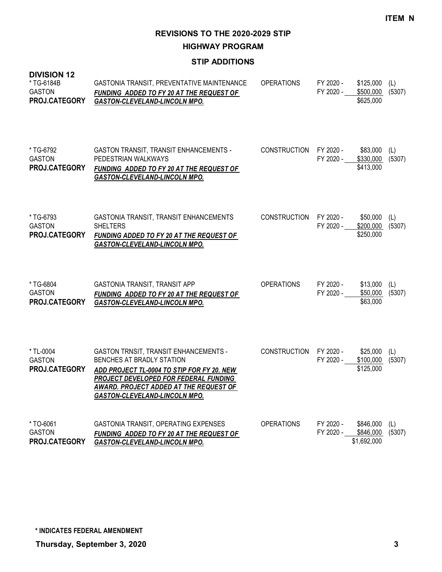**HIGHWAY PROGRAM**

## **STIP ADDITIONS**

| <b>DIVISION 12</b><br>* TG-6184B<br><b>GASTON</b><br>PROJ.CATEGORY | GASTONIA TRANSIT, PREVENTATIVE MAINTENANCE<br>FUNDING ADDED TO FY 20 AT THE REQUEST OF<br><b>GASTON-CLEVELAND-LINCOLN MPO.</b>                                                                                                                     | <b>OPERATIONS</b>   | FY 2020 -<br>FY 2020 - | \$125,000<br>\$500,000<br>\$625,000   | (L)<br>(5307) |
|--------------------------------------------------------------------|----------------------------------------------------------------------------------------------------------------------------------------------------------------------------------------------------------------------------------------------------|---------------------|------------------------|---------------------------------------|---------------|
| *TG-6792<br><b>GASTON</b><br>PROJ.CATEGORY                         | <b>GASTON TRANSIT, TRANSIT ENHANCEMENTS -</b><br>PEDESTRIAN WALKWAYS<br>FUNDING ADDED TO FY 20 AT THE REQUEST OF<br><b>GASTON-CLEVELAND-LINCOLN MPO.</b>                                                                                           | CONSTRUCTION        | FY 2020 -<br>FY 2020 - | \$83,000<br>\$330,000<br>\$413,000    | (L)<br>(5307) |
| *TG-6793<br><b>GASTON</b><br>PROJ.CATEGORY                         | GASTONIA TRANSIT, TRANSIT ENHANCEMENTS<br><b>SHELTERS</b><br><b>FUNDING ADDED TO FY 20 AT THE REQUEST OF</b><br>GASTON-CLEVELAND-LINCOLN MPO.                                                                                                      | <b>CONSTRUCTION</b> | FY 2020 -<br>FY 2020 - | \$50,000<br>\$200,000<br>\$250,000    | (L)<br>(5307) |
| * TG-6804<br><b>GASTON</b><br>PROJ.CATEGORY                        | GASTONIA TRANSIT, TRANSIT APP<br>FUNDING ADDED TO FY 20 AT THE REQUEST OF<br><b>GASTON-CLEVELAND-LINCOLN MPO.</b>                                                                                                                                  | <b>OPERATIONS</b>   | FY 2020 -<br>FY 2020 - | \$13,000<br>\$50,000<br>\$63,000      | (L)<br>(5307) |
| * TL-0004<br><b>GASTON</b><br>PROJ.CATEGORY                        | <b>GASTON TRNSIT, TRANSIT ENHANCEMENTS -</b><br>BENCHES AT BRADLY STATION<br>ADD PROJECT TL-0004 TO STIP FOR FY 20. NEW<br>PROJECT DEVELOPED FOR FEDERAL FUNDING<br><b>AWARD. PROJECT ADDED AT THE REQUEST OF</b><br>GASTON-CLEVELAND-LINCOLN MPO. | <b>CONSTRUCTION</b> | FY 2020 -<br>FY 2020 - | \$25,000<br>\$100,000<br>\$125,000    | (L)<br>(5307) |
| *TO-6061<br><b>GASTON</b><br>PROJ.CATEGORY                         | GASTONIA TRANSIT, OPERATING EXPENSES<br>FUNDING ADDED TO FY 20 AT THE REQUEST OF<br><b>GASTON-CLEVELAND-LINCOLN MPO.</b>                                                                                                                           | <b>OPERATIONS</b>   | FY 2020 -<br>FY 2020 - | \$846,000<br>\$846,000<br>\$1,692,000 | (L)<br>(5307) |

**\* INDICATES FEDERAL AMENDMENT**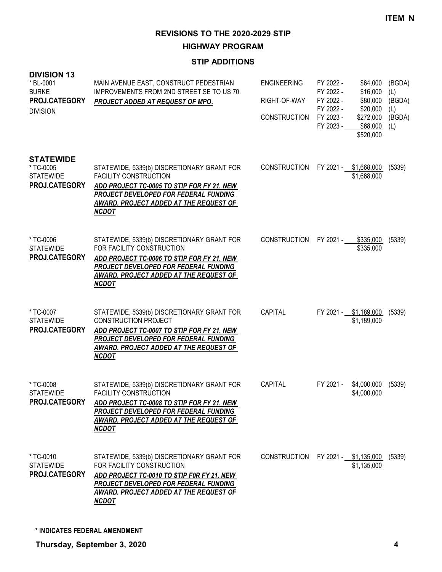**HIGHWAY PROGRAM**

# **STIP ADDITIONS**

| <b>DIVISION 13</b><br>* BL-0001<br><b>BURKE</b><br>PROJ.CATEGORY<br><b>DIVISION</b> | MAIN AVENUE EAST, CONSTRUCT PEDESTRIAN<br>IMPROVEMENTS FROM 2ND STREET SE TO US 70.<br><b>PROJECT ADDED AT REQUEST OF MPO.</b>                                                                                                     | <b>ENGINEERING</b><br>RIGHT-OF-WAY<br><b>CONSTRUCTION</b> | FY 2022 -<br>FY 2022 -<br>FY 2022 -<br>FY 2022 -<br>FY 2023 -<br>FY 2023 - | \$64,000<br>\$16,000<br>\$80,000<br>\$20,000<br>\$272,000<br>\$68,000<br>\$520,000 | (BGDA)<br>(L)<br>(BGDA)<br>(L)<br>(BGDA)<br>(L) |
|-------------------------------------------------------------------------------------|------------------------------------------------------------------------------------------------------------------------------------------------------------------------------------------------------------------------------------|-----------------------------------------------------------|----------------------------------------------------------------------------|------------------------------------------------------------------------------------|-------------------------------------------------|
| <b>STATEWIDE</b><br>* TC-0005<br><b>STATEWIDE</b><br>PROJ.CATEGORY                  | STATEWIDE, 5339(b) DISCRETIONARY GRANT FOR<br><b>FACILITY CONSTRUCTION</b><br>ADD PROJECT TC-0005 TO STIP FOR FY 21. NEW<br>PROJECT DEVELOPED FOR FEDERAL FUNDING<br><b>AWARD. PROJECT ADDED AT THE REQUEST OF</b><br><b>NCDOT</b> | <b>CONSTRUCTION</b>                                       |                                                                            | FY 2021 - \$1,668,000<br>\$1,668,000                                               | (5339)                                          |
| * TC-0006<br><b>STATEWIDE</b><br>PROJ.CATEGORY                                      | STATEWIDE, 5339(b) DISCRETIONARY GRANT FOR<br>FOR FACILITY CONSTRUCTION<br>ADD PROJECT TC-0006 TO STIP FOR FY 21. NEW<br>PROJECT DEVELOPED FOR FEDERAL FUNDING<br><b>AWARD. PROJECT ADDED AT THE REQUEST OF</b><br><b>NCDOT</b>    | CONSTRUCTION                                              |                                                                            | FY 2021 - \$335,000<br>\$335,000                                                   | (5339)                                          |
| * TC-0007<br><b>STATEWIDE</b><br>PROJ.CATEGORY                                      | STATEWIDE, 5339(b) DISCRETIONARY GRANT FOR<br><b>CONSTRUCTION PROJECT</b><br>ADD PROJECT TC-0007 TO STIP FOR FY 21. NEW<br>PROJECT DEVELOPED FOR FEDERAL FUNDING<br><b>AWARD. PROJECT ADDED AT THE REQUEST OF</b><br><b>NCDOT</b>  | <b>CAPITAL</b>                                            |                                                                            | FY 2021 - \$1,189,000<br>\$1,189,000                                               | (5339)                                          |
| * TC-0008<br><b>STATEWIDE</b><br>PROJ.CATEGORY                                      | STATEWIDE, 5339(b) DISCRETIONARY GRANT FOR<br><b>FACILITY CONSTRUCTION</b><br>ADD PROJECT TC-0008 TO STIP FOR FY 21. NEW<br><b>PROJECT DEVELOPED FOR FEDERAL FUNDING</b><br>AWARD. PROJECT ADDED AT THE REQUEST OF<br><u>NCDOT</u> | CAPITAL                                                   |                                                                            | FY 2021 - \$4,000,000 (5339)<br>\$4,000,000                                        |                                                 |
| * TC-0010<br><b>STATEWIDE</b><br>PROJ.CATEGORY                                      | STATEWIDE, 5339(b) DISCRETIONARY GRANT FOR<br>FOR FACILITY CONSTRUCTION<br>ADD PROJECT TC-0010 TO STIP F0R FY 21. NEW<br>PROJECT DEVELOPED FOR FEDERAL FUNDING<br>AWARD. PROJECT ADDED AT THE REQUEST OF<br><b>NCDOT</b>           | <b>CONSTRUCTION</b>                                       |                                                                            | FY 2021 - \$1,135,000<br>\$1,135,000                                               | (5339)                                          |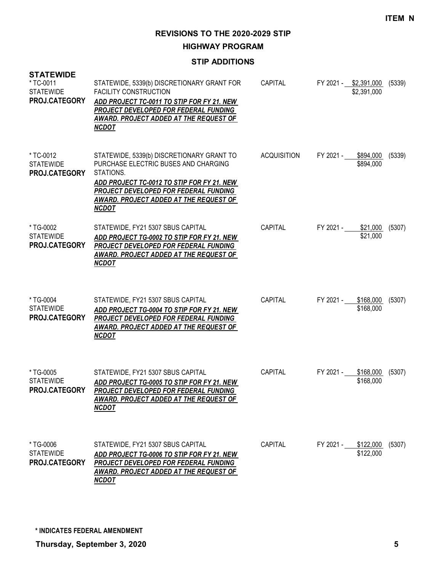**HIGHWAY PROGRAM**

### **STIP ADDITIONS**

| <b>STATEWIDE</b><br>* TC-0011<br><b>STATEWIDE</b><br>PROJ.CATEGORY | STATEWIDE, 5339(b) DISCRETIONARY GRANT FOR<br><b>FACILITY CONSTRUCTION</b><br>ADD PROJECT TC-0011 TO STIP FOR FY 21. NEW<br>PROJECT DEVELOPED FOR FEDERAL FUNDING<br>AWARD. PROJECT ADDED AT THE REQUEST OF<br><b>NCDOT</b>                     | <b>CAPITAL</b>     | FY 2021 - \$2,391,000 (5339)<br>\$2,391,000 |        |
|--------------------------------------------------------------------|-------------------------------------------------------------------------------------------------------------------------------------------------------------------------------------------------------------------------------------------------|--------------------|---------------------------------------------|--------|
| * TC-0012<br><b>STATEWIDE</b><br>PROJ.CATEGORY                     | STATEWIDE, 5339(b) DISCRETIONARY GRANT TO<br>PURCHASE ELECTRIC BUSES AND CHARGING<br>STATIONS.<br>ADD PROJECT TC-0012 TO STIP FOR FY 21. NEW<br>PROJECT DEVELOPED FOR FEDERAL FUNDING<br>AWARD. PROJECT ADDED AT THE REQUEST OF<br><b>NCDOT</b> | <b>ACQUISITION</b> | FY 2021 -<br>\$894,000<br>\$894,000         | (5339) |
| *TG-0002<br><b>STATEWIDE</b><br>PROJ.CATEGORY                      | STATEWIDE, FY21 5307 SBUS CAPITAL<br>ADD PROJECT TG-0002 TO STIP FOR FY 21. NEW<br>PROJECT DEVELOPED FOR FEDERAL FUNDING<br><u>AWARD. PROJECT ADDED AT THE REQUEST OF</u><br><b>NCDOT</b>                                                       | CAPITAL            | FY 2021 - \$21,000<br>\$21,000              | (5307) |
| * TG-0004<br><b>STATEWIDE</b><br>PROJ.CATEGORY                     | STATEWIDE, FY21 5307 SBUS CAPITAL<br>ADD PROJECT TG-0004 TO STIP FOR FY 21. NEW<br>PROJECT DEVELOPED FOR FEDERAL FUNDING<br><b>AWARD. PROJECT ADDED AT THE REQUEST OF</b><br><b>NCDOT</b>                                                       | <b>CAPITAL</b>     | FY 2021 - \$168,000<br>\$168,000            | (5307) |
| *TG-0005<br><b>STATEWIDE</b><br>PROJ.CATEGORY                      | STATEWIDE, FY21 5307 SBUS CAPITAL<br>ADD PROJECT TG-0005 TO STIP FOR FY 21. NEW<br><b>PROJECT DEVELOPED FOR FEDERAL FUNDING</b><br>AWARD. PROJECT ADDED AT THE REQUEST OF<br><b>NCDOT</b>                                                       | <b>CAPITAL</b>     | FY 2021 -<br>\$168,000<br>\$168,000         | (5307) |
| *TG-0006<br><b>STATEWIDE</b><br>PROJ.CATEGORY                      | STATEWIDE, FY21 5307 SBUS CAPITAL<br>ADD PROJECT TG-0006 TO STIP FOR FY 21. NEW<br>PROJECT DEVELOPED FOR FEDERAL FUNDING<br>AWARD. PROJECT ADDED AT THE REQUEST OF<br><b>NCDOT</b>                                                              | <b>CAPITAL</b>     | FY 2021 - \$122,000<br>\$122,000            | (5307) |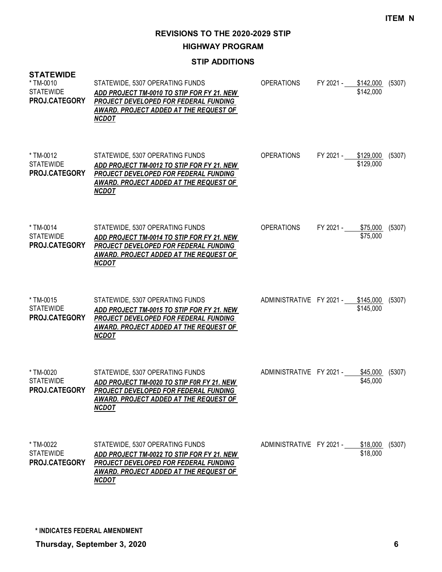**HIGHWAY PROGRAM**

# **STIP ADDITIONS**

| <b>STATEWIDE</b><br>* TM-0010<br><b>STATEWIDE</b><br>PROJ.CATEGORY | STATEWIDE, 5307 OPERATING FUNDS<br>ADD PROJECT TM-0010 TO STIP FOR FY 21. NEW<br>PROJECT DEVELOPED FOR FEDERAL FUNDING<br>AWARD. PROJECT ADDED AT THE REQUEST OF<br><b>NCDOT</b> | <b>OPERATIONS</b>                  | FY 2021 - \$142,000 | \$142,000            | (5307) |
|--------------------------------------------------------------------|----------------------------------------------------------------------------------------------------------------------------------------------------------------------------------|------------------------------------|---------------------|----------------------|--------|
| * TM-0012<br><b>STATEWIDE</b><br>PROJ.CATEGORY                     | STATEWIDE, 5307 OPERATING FUNDS<br>ADD PROJECT TM-0012 TO STIP FOR FY 21. NEW<br>PROJECT DEVELOPED FOR FEDERAL FUNDING<br>AWARD. PROJECT ADDED AT THE REQUEST OF<br><b>NCDOT</b> | <b>OPERATIONS</b>                  | FY 2021 - \$129,000 | \$129,000            | (5307) |
| * TM-0014<br><b>STATEWIDE</b><br>PROJ.CATEGORY                     | STATEWIDE, 5307 OPERATING FUNDS<br>ADD PROJECT TM-0014 TO STIP FOR FY 21. NEW<br>PROJECT DEVELOPED FOR FEDERAL FUNDING<br>AWARD. PROJECT ADDED AT THE REQUEST OF<br><b>NCDOT</b> | <b>OPERATIONS</b>                  | FY 2021 -           | \$75,000<br>\$75,000 | (5307) |
| * TM-0015<br><b>STATEWIDE</b><br>PROJ.CATEGORY                     | STATEWIDE, 5307 OPERATING FUNDS<br>ADD PROJECT TM-0015 TO STIP FOR FY 21. NEW<br>PROJECT DEVELOPED FOR FEDERAL FUNDING<br>AWARD. PROJECT ADDED AT THE REQUEST OF<br><b>NCDOT</b> | ADMINISTRATIVE FY 2021 - \$145,000 |                     | \$145,000            | (5307) |
| * TM-0020<br><b>STATEWIDE</b><br><b>PROJ.CATEGORY</b>              | STATEWIDE, 5307 OPERATING FUNDS<br>ADD PROJECT TM-0020 TO STIP FOR FY 21. NEW<br>PROJECT DEVELOPED FOR FEDERAL FUNDING<br>AWARD. PROJECT ADDED AT THE REQUEST OF<br><b>NCDOT</b> | ADMINISTRATIVE FY 2021 -           |                     | \$45,000<br>\$45,000 | (5307) |
| * TM-0022<br><b>STATEWIDE</b><br>PROJ.CATEGORY                     | STATEWIDE, 5307 OPERATING FUNDS<br>ADD PROJECT TM-0022 TO STIP FOR FY 21. NEW<br>PROJECT DEVELOPED FOR FEDERAL FUNDING<br>AWARD. PROJECT ADDED AT THE REQUEST OF<br><b>NCDOT</b> | ADMINISTRATIVE FY 2021 -           |                     | \$18,000<br>\$18,000 | (5307) |

**\* INDICATES FEDERAL AMENDMENT**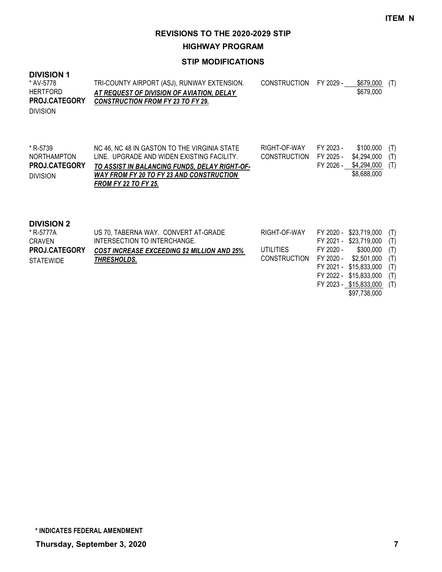**HIGHWAY PROGRAM**

#### **STIP MODIFICATIONS**

#### **DIVISION 1**

| * AV-5778<br><b>HERTFORD</b><br><b>PROJ.CATEGORY</b><br><b>DIVISION</b> | TRI-COUNTY AIRPORT (ASJ), RUNWAY EXTENSION.<br>AT REQUEST OF DIVISION OF AVIATION. DELAY<br><b>CONSTRUCTION FROM FY 23 TO FY 29.</b> | CONSTRUCTION FY 2029 - | \$679,000 (T)<br>\$679,000 |  |
|-------------------------------------------------------------------------|--------------------------------------------------------------------------------------------------------------------------------------|------------------------|----------------------------|--|
|                                                                         |                                                                                                                                      |                        |                            |  |

| * R-5739             | NC 46, NC 48 IN GASTON TO THE VIRGINIA STATE  | RIGHT-OF-WAY           | FY 2023 - | \$100,000 (T)               |  |
|----------------------|-----------------------------------------------|------------------------|-----------|-----------------------------|--|
| <b>NORTHAMPTON</b>   | LINE. UPGRADE AND WIDEN EXISTING FACILITY.    | CONSTRUCTION FY 2025 - |           | \$4,294,000 (T)             |  |
| <b>PROJ.CATEGORY</b> | TO ASSIST IN BALANCING FUNDS, DELAY RIGHT-OF- |                        |           | $FY$ 2026 - \$4,294,000 (T) |  |
| <b>DIVISION</b>      | WAY FROM FY 20 TO FY 23 AND CONSTRUCTION      |                        |           | \$8,688,000                 |  |
|                      | <b>FROM FY 22 TO FY 25.</b>                   |                        |           |                             |  |
|                      |                                               |                        |           |                             |  |

#### **DIVISION 2**

| * R-5777A        | US 70, TABERNA WAY. CONVERT AT-GRADE               | RIGHT-OF-WAY                           |           | FY 2020 - \$23,719,000 (T) |  |
|------------------|----------------------------------------------------|----------------------------------------|-----------|----------------------------|--|
| CRAVEN           | INTERSECTION TO INTERCHANGE.                       |                                        |           | FY 2021 - \$23,719,000 (T) |  |
| PROJ.CATEGORY    | <b>COST INCREASE EXCEEDING \$2 MILLION AND 25%</b> | UTILITIES                              | FY 2020 - | \$300,000 (T)              |  |
| <b>STATEWIDE</b> | THRESHOLDS.                                        | CONSTRUCTION FY 2020 - \$2,501,000 (T) |           |                            |  |
|                  |                                                    |                                        |           | FY 2021 - \$15,833,000 (T) |  |
|                  |                                                    |                                        |           | FY 2022 - \$15,833,000 (T) |  |
|                  |                                                    |                                        |           |                            |  |

FY 2023 - \$15,833,000 (T) \$97,738,000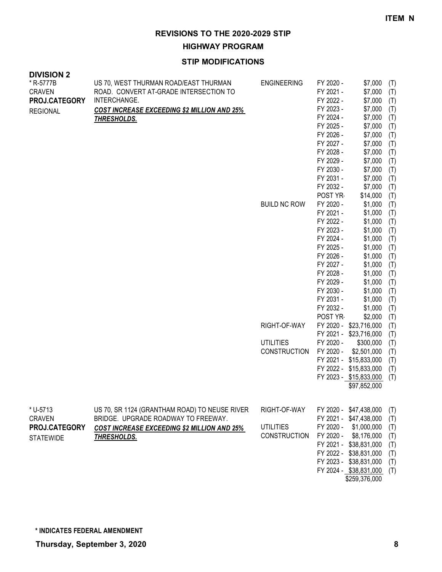**HIGHWAY PROGRAM**

| <b>DIVISION 2</b><br>* R-5777B<br><b>CRAVEN</b><br>PROJ.CATEGORY<br><b>REGIONAL</b> | US 70, WEST THURMAN ROAD/EAST THURMAN<br>ROAD. CONVERT AT-GRADE INTERSECTION TO<br>INTERCHANGE.<br><b>COST INCREASE EXCEEDING \$2 MILLION AND 25%</b><br><u>THRESHOLDS.</u> | <b>ENGINEERING</b><br><b>BUILD NC ROW</b><br>RIGHT-OF-WAY<br><b>UTILITIES</b><br><b>CONSTRUCTION</b> | FY 2020 -<br>FY 2021 -<br>FY 2022 -<br>FY 2023 -<br>FY 2024 -<br>FY 2025 -<br>FY 2026 -<br>FY 2027 -<br>FY 2028 -<br>FY 2029 -<br>FY 2030 -<br>FY 2031 -<br>FY 2032 -<br>POST YR-<br>FY 2020 -<br>FY 2021 -<br>FY 2022 -<br>FY 2023 -<br>FY 2024 -<br>FY 2025 -<br>FY 2026 -<br>FY 2027 -<br>FY 2028 -<br>FY 2029 -<br>FY 2030 -<br>FY 2031 -<br>FY 2032 -<br>POST YR<br>FY 2021 -<br>FY 2020 -<br>FY 2020 - | \$7,000<br>\$7,000<br>\$7,000<br>\$7,000<br>\$7,000<br>\$7,000<br>\$7,000<br>\$7,000<br>\$7,000<br>\$7,000<br>\$7,000<br>\$7,000<br>\$7,000<br>\$14,000<br>\$1,000<br>\$1,000<br>\$1,000<br>\$1,000<br>\$1,000<br>\$1,000<br>\$1,000<br>\$1,000<br>\$1,000<br>\$1,000<br>\$1,000<br>\$1,000<br>\$1,000<br>\$2,000<br>FY 2020 - \$23,716,000<br>\$23,716,000<br>\$300,000<br>\$2,501,000<br>FY 2021 - \$15,833,000<br>FY 2022 - \$15,833,000<br>FY 2023 - \$15,833,000<br>\$97,852,000 | (T)<br>(T)<br>(T)<br>(T)<br>(T)<br>(T)<br>(T)<br>(T)<br>(T)<br>(T)<br>(T)<br>(T)<br>(T)<br>(T)<br>(T)<br>(T)<br>(T)<br>(T)<br>(T)<br>(T)<br>(T)<br>(T)<br>(T)<br>(T)<br>(T)<br>(T)<br>(T)<br>(T)<br>(T)<br>(T)<br>(T)<br>(T)<br>(T)<br>(T)<br>(T) |
|-------------------------------------------------------------------------------------|-----------------------------------------------------------------------------------------------------------------------------------------------------------------------------|------------------------------------------------------------------------------------------------------|--------------------------------------------------------------------------------------------------------------------------------------------------------------------------------------------------------------------------------------------------------------------------------------------------------------------------------------------------------------------------------------------------------------|---------------------------------------------------------------------------------------------------------------------------------------------------------------------------------------------------------------------------------------------------------------------------------------------------------------------------------------------------------------------------------------------------------------------------------------------------------------------------------------|---------------------------------------------------------------------------------------------------------------------------------------------------------------------------------------------------------------------------------------------------|
| * U-5713<br><b>CRAVEN</b><br>PROJ.CATEGORY<br><b>STATEWIDE</b>                      | US 70, SR 1124 (GRANTHAM ROAD) TO NEUSE RIVER<br>BRIDGE. UPGRADE ROADWAY TO FREEWAY.<br><b>COST INCREASE EXCEEDING \$2 MILLION AND 25%</b><br>THRESHOLDS.                   | RIGHT-OF-WAY<br><b>UTILITIES</b><br><b>CONSTRUCTION</b>                                              | FY 2020 -<br>FY 2020 -                                                                                                                                                                                                                                                                                                                                                                                       | FY 2020 - \$47,438,000<br>FY 2021 - \$47,438,000<br>\$1,000,000<br>\$8,176,000<br>FY 2021 - \$38,831,000<br>FY 2022 - \$38,831,000<br>FY 2023 - \$38,831,000<br>FY 2024 - \$38,831,000<br>\$259,376,000                                                                                                                                                                                                                                                                               | (T)<br>(T)<br>(T)<br>(T)<br>(T)<br>(T)<br>(T)<br>(T)                                                                                                                                                                                              |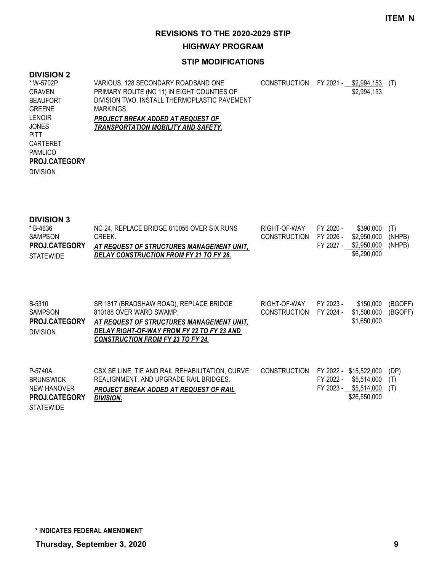**HIGHWAY PROGRAM**

#### **STIP MODIFICATIONS**

# **DIVISION 2**

| * W-5702P            | VARIOUS, 128 SECONDARY ROADSAND ONE          | <b>CONSTRUCTION</b> | FY 2021 - | \$2,994.153 | (T) |
|----------------------|----------------------------------------------|---------------------|-----------|-------------|-----|
| CRAVEN               | PRIMARY ROUTE (NC 11) IN EIGHT COUNTIES OF   |                     |           | \$2,994,153 |     |
| <b>BEAUFORT</b>      | DIVISION TWO. INSTALL THERMOPLASTIC PAVEMENT |                     |           |             |     |
| <b>GREENE</b>        | MARKINGS.                                    |                     |           |             |     |
| <b>LENOIR</b>        | PROJECT BREAK ADDED AT REQUEST OF            |                     |           |             |     |
| <b>JONES</b>         | TRANSPORTATION MOBILITY AND SAFETY.          |                     |           |             |     |
| <b>PITT</b>          |                                              |                     |           |             |     |
| CARTERET             |                                              |                     |           |             |     |
| <b>PAMLICO</b>       |                                              |                     |           |             |     |
| <b>PROJ.CATEGORY</b> |                                              |                     |           |             |     |
| <b>DIVISION</b>      |                                              |                     |           |             |     |
|                      |                                              |                     |           |             |     |

#### **DIVISION 3**

| * B-4636             | NC 24, REPLACE BRIDGE 810056 OVER SIX RUNS | RIGHT-OF-WAY           | FY 2020 - | \$390.000 (T)      |  |
|----------------------|--------------------------------------------|------------------------|-----------|--------------------|--|
| SAMPSON              | CREEK.                                     | CONSTRUCTION FY 2026 - |           | \$2,950,000 (NHPB) |  |
| <b>PROJ.CATEGORY</b> | AT REQUEST OF STRUCTURES MANAGEMENT UNIT.  |                        | FY 2027 - | \$2,950,000 (NHPB) |  |
| <b>STATEWIDE</b>     | DELAY CONSTRUCTION FROM FY 21 TO FY 26.    |                        |           | \$6,290,000        |  |

| B-5310<br><b>SAMPSON</b><br>PROJ.CATEGORY<br><b>DIVISION</b>       | SR 1817 (BRADSHAW ROAD), REPLACE BRIDGE<br>810188 OVER WARD SWAMP.<br>AT REQUEST OF STRUCTURES MANAGEMENT UNIT,<br>DELAY RIGHT-OF-WAY FROM FY 22 TO FY 23 AND<br><b>CONSTRUCTION FROM FY 23 TO FY 24.</b> | RIGHT-OF-WAY<br><b>CONSTRUCTION</b> | FY 2023 -<br>FY 2024 - | \$150,000<br>\$1,500,000<br>\$1,650,000                              | (BGOFF)<br>(BGOFF) |
|--------------------------------------------------------------------|-----------------------------------------------------------------------------------------------------------------------------------------------------------------------------------------------------------|-------------------------------------|------------------------|----------------------------------------------------------------------|--------------------|
| P-5740A<br><b>BRUNSWICK</b><br>NEW HANOVER<br><b>PROJ.CATEGORY</b> | CSX SE LINE, TIE AND RAIL REHABILITATION, CURVE<br>REALIGNMENT, AND UPGRADE RAIL BRIDGES.<br>PROJECT BREAK ADDED AT REQUEST OF RAIL<br><b>DIVISION.</b>                                                   | <b>CONSTRUCTION</b>                 | FY 2022 -<br>FY 2022 - | \$15,522,000<br>\$5.514.000<br>FY 2023 - \$5,514,000<br>\$26,550,000 | (DP)<br>(T)<br>(T) |

STATEWIDE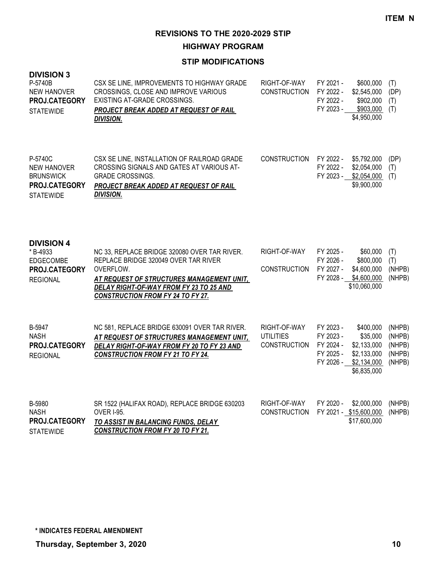**HIGHWAY PROGRAM**

| <b>DIVISION 3</b><br>P-5740B<br><b>NEW HANOVER</b><br>PROJ.CATEGORY<br><b>STATEWIDE</b> | CSX SE LINE, IMPROVEMENTS TO HIGHWAY GRADE<br>CROSSINGS, CLOSE AND IMPROVE VARIOUS<br>EXISTING AT-GRADE CROSSINGS.<br>PROJECT BREAK ADDED AT REQUEST OF RAIL<br><b>DIVISION.</b>                                                      | RIGHT-OF-WAY<br><b>CONSTRUCTION</b>                     | FY 2021 -<br>FY 2022 -<br>FY 2022 -              | \$600,000<br>\$2,545,000<br>\$902,000<br>FY 2023 - \$903,000<br>\$4,950,000                 | (T)<br>(DP)<br>(T)<br>(T)                      |
|-----------------------------------------------------------------------------------------|---------------------------------------------------------------------------------------------------------------------------------------------------------------------------------------------------------------------------------------|---------------------------------------------------------|--------------------------------------------------|---------------------------------------------------------------------------------------------|------------------------------------------------|
| P-5740C<br>NEW HANOVER<br><b>BRUNSWICK</b><br>PROJ.CATEGORY<br><b>STATEWIDE</b>         | CSX SE LINE, INSTALLATION OF RAILROAD GRADE<br>CROSSING SIGNALS AND GATES AT VARIOUS AT-<br><b>GRADE CROSSINGS.</b><br>PROJECT BREAK ADDED AT REQUEST OF RAIL<br><b>DIVISION.</b>                                                     | <b>CONSTRUCTION</b>                                     | FY 2022 -<br>FY 2022 -                           | \$5,792,000<br>\$2,054,000<br>FY 2023 - \$2,054,000<br>\$9,900,000                          | (DP)<br>(T)<br>(T)                             |
| <b>DIVISION 4</b><br>*B-4933<br><b>EDGECOMBE</b><br>PROJ.CATEGORY<br><b>REGIONAL</b>    | NC 33, REPLACE BRIDGE 320080 OVER TAR RIVER.<br>REPLACE BRIDGE 320049 OVER TAR RIVER<br>OVERFLOW.<br>AT REQUEST OF STRUCTURES MANAGEMENT UNIT,<br>DELAY RIGHT-OF-WAY FROM FY 23 TO 25 AND<br><b>CONSTRUCTION FROM FY 24 TO FY 27.</b> | RIGHT-OF-WAY<br><b>CONSTRUCTION</b>                     | FY 2025 -<br>FY 2026 -<br>FY 2027 -<br>FY 2028 - | \$60,000<br>\$800,000<br>\$4,600,000<br>\$4,600,000<br>\$10,060,000                         | (T)<br>(T)<br>(NHPB)<br>(NHPB)                 |
| B-5947<br><b>NASH</b><br>PROJ.CATEGORY<br><b>REGIONAL</b>                               | NC 581, REPLACE BRIDGE 630091 OVER TAR RIVER.<br>AT REQUEST OF STRUCTURES MANAGEMENT UNIT,<br>DELAY RIGHT-OF-WAY FROM FY 20 TO FY 23 AND<br><b>CONSTRUCTION FROM FY 21 TO FY 24.</b>                                                  | RIGHT-OF-WAY<br><b>UTILITIES</b><br><b>CONSTRUCTION</b> | FY 2023 -<br>FY 2023 -<br>FY 2024 -<br>FY 2025 - | \$400,000<br>\$35,000<br>\$2,133,000<br>\$2,133,000<br>FY 2026 - \$2,134,000<br>\$6,835,000 | (NHPB)<br>(NHPB)<br>(NHPB)<br>(NHPB)<br>(NHPB) |
| B-5980<br><b>NASH</b><br>PROJ.CATEGORY<br><b>STATEWIDE</b>                              | SR 1522 (HALIFAX ROAD), REPLACE BRIDGE 630203<br><b>OVER I-95.</b><br>TO ASSIST IN BALANCING FUNDS, DELAY<br><b>CONSTRUCTION FROM FY 20 TO FY 21.</b>                                                                                 | RIGHT-OF-WAY<br><b>CONSTRUCTION</b>                     | FY 2020 -                                        | \$2,000,000<br>FY 2021 - \$15,600,000<br>\$17,600,000                                       | (NHPB)<br>(NHPB)                               |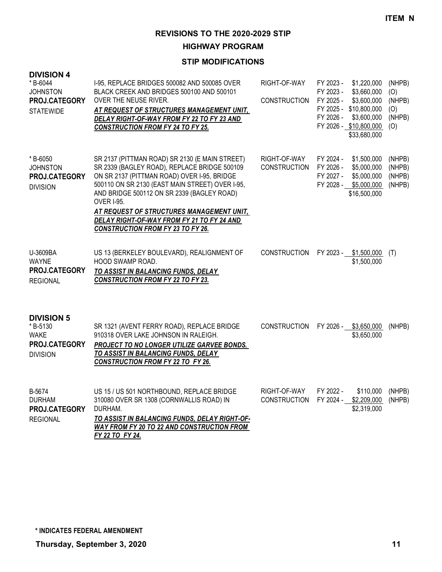**HIGHWAY PROGRAM**

| <b>DIVISION 4</b><br>* B-6044<br><b>JOHNSTON</b><br>PROJ.CATEGORY<br><b>STATEWIDE</b> | I-95, REPLACE BRIDGES 500082 AND 500085 OVER<br>BLACK CREEK AND BRIDGES 500100 AND 500101<br>OVER THE NEUSE RIVER.<br>AT REQUEST OF STRUCTURES MANAGEMENT UNIT,<br>DELAY RIGHT-OF-WAY FROM FY 22 TO FY 23 AND<br><b>CONSTRUCTION FROM FY 24 TO FY 25.</b>                                                                                                                                                  | RIGHT-OF-WAY<br><b>CONSTRUCTION</b> | FY 2023 -<br>FY 2023 -<br>FY 2025 -<br>FY 2025 -<br>FY 2026 - | \$1,220,000<br>\$3,660,000<br>\$3,600,000<br>\$10,800,000<br>\$3,600,000<br>FY 2026 - \$10,800,000<br>\$33,680,000 | (NHPB)<br>(O)<br>(NHPB)<br>(O)<br>(NHPB)<br>(O) |
|---------------------------------------------------------------------------------------|------------------------------------------------------------------------------------------------------------------------------------------------------------------------------------------------------------------------------------------------------------------------------------------------------------------------------------------------------------------------------------------------------------|-------------------------------------|---------------------------------------------------------------|--------------------------------------------------------------------------------------------------------------------|-------------------------------------------------|
| * B-6050<br><b>JOHNSTON</b><br>PROJ.CATEGORY<br><b>DIVISION</b>                       | SR 2137 (PITTMAN ROAD) SR 2130 (E MAIN STREET)<br>SR 2339 (BAGLEY ROAD), REPLACE BRIDGE 500109<br>ON SR 2137 (PITTMAN ROAD) OVER I-95, BRIDGE<br>500110 ON SR 2130 (EAST MAIN STREET) OVER I-95,<br>AND BRIDGE 500112 ON SR 2339 (BAGLEY ROAD)<br><b>OVER I-95.</b><br>AT REQUEST OF STRUCTURES MANAGEMENT UNIT,<br>DELAY RIGHT-OF-WAY FROM FY 21 TO FY 24 AND<br><b>CONSTRUCTION FROM FY 23 TO FY 26.</b> | RIGHT-OF-WAY<br><b>CONSTRUCTION</b> | FY 2024 -<br>FY 2026 -<br>FY 2027 -<br>FY 2028 -              | \$1,500,000<br>\$5,000,000<br>\$5,000,000<br>\$5,000,000<br>\$16,500,000                                           | (NHPB)<br>(NHPB)<br>(NHPB)<br>(NHPB)            |
| U-3609BA<br><b>WAYNE</b><br>PROJ.CATEGORY<br><b>REGIONAL</b>                          | US 13 (BERKELEY BOULEVARD), REALIGNMENT OF<br>HOOD SWAMP ROAD.<br>TO ASSIST IN BALANCING FUNDS, DELAY<br><b>CONSTRUCTION FROM FY 22 TO FY 23.</b>                                                                                                                                                                                                                                                          | <b>CONSTRUCTION</b>                 |                                                               | FY 2023 - \$1,500,000<br>\$1,500,000                                                                               | (T)                                             |
| <b>DIVISION 5</b><br>*B-5130<br><b>WAKE</b><br>PROJ.CATEGORY<br><b>DIVISION</b>       | SR 1321 (AVENT FERRY ROAD), REPLACE BRIDGE<br>910318 OVER LAKE JOHNSON IN RALEIGH.<br>PROJECT TO NO LONGER UTILIZE GARVEE BONDS.<br>TO ASSIST IN BALANCING FUNDS, DELAY<br><b>CONSTRUCTION FROM FY 22 TO FY 26.</b>                                                                                                                                                                                        | <b>CONSTRUCTION</b>                 |                                                               | FY 2026 - \$3,650,000<br>\$3,650,000                                                                               | (NHPB)                                          |
| B-5674<br><b>DURHAM</b><br>PROJ.CATEGORY<br><b>REGIONAL</b>                           | US 15 / US 501 NORTHBOUND, REPLACE BRIDGE<br>310080 OVER SR 1308 (CORNWALLIS ROAD) IN<br>DURHAM.<br>TO ASSIST IN BALANCING FUNDS, DELAY RIGHT-OF-<br><b>WAY FROM FY 20 TO 22 AND CONSTRUCTION FROM</b><br>FY 22 TO FY 24.                                                                                                                                                                                  | RIGHT-OF-WAY<br><b>CONSTRUCTION</b> | FY 2022 -<br>FY 2024 -                                        | \$110,000<br>\$2,209,000<br>\$2,319,000                                                                            | (NHPB)<br>(NHPB)                                |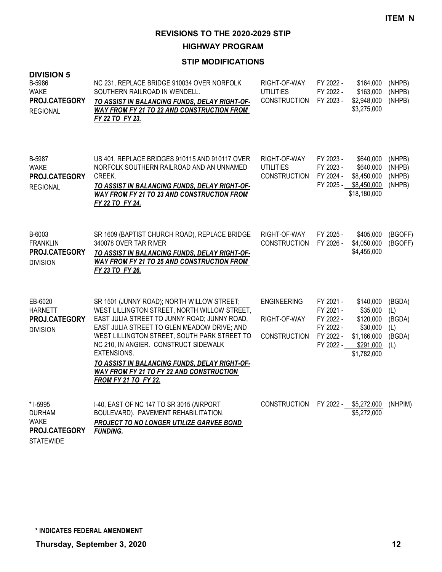**HIGHWAY PROGRAM**

| <b>DIVISION 5</b><br>B-5986<br><b>WAKE</b><br>PROJ.CATEGORY<br><b>REGIONAL</b> | NC 231, REPLACE BRIDGE 910034 OVER NORFOLK<br>SOUTHERN RAILROAD IN WENDELL.<br>TO ASSIST IN BALANCING FUNDS, DELAY RIGHT-OF-<br><b>WAY FROM FY 21 TO 22 AND CONSTRUCTION FROM</b><br>FY 22 TO FY 23.                                                                                                                                                                                                                                        | RIGHT-OF-WAY<br><b>UTILITIES</b><br><b>CONSTRUCTION</b>   | FY 2022 -<br>\$164,000<br>FY 2022 -<br>\$163,000<br>FY 2023 -<br>\$2,948,000<br>\$3,275,000                                                                             | (NHPB)<br>(NHPB)<br>(NHPB)                      |
|--------------------------------------------------------------------------------|---------------------------------------------------------------------------------------------------------------------------------------------------------------------------------------------------------------------------------------------------------------------------------------------------------------------------------------------------------------------------------------------------------------------------------------------|-----------------------------------------------------------|-------------------------------------------------------------------------------------------------------------------------------------------------------------------------|-------------------------------------------------|
| B-5987<br><b>WAKE</b><br>PROJ.CATEGORY<br><b>REGIONAL</b>                      | US 401, REPLACE BRIDGES 910115 AND 910117 OVER<br>NORFOLK SOUTHERN RAILROAD AND AN UNNAMED<br>CREEK.<br>TO ASSIST IN BALANCING FUNDS, DELAY RIGHT-OF-<br><b>WAY FROM FY 21 TO 23 AND CONSTRUCTION FROM</b><br>FY 22 TO FY 24.                                                                                                                                                                                                               | RIGHT-OF-WAY<br><b>UTILITIES</b><br><b>CONSTRUCTION</b>   | FY 2023 -<br>\$640,000<br>FY 2023 -<br>\$640,000<br>FY 2024 -<br>\$8,450,000<br>FY 2025 -<br>\$8,450,000<br>\$18,180,000                                                | (NHPB)<br>(NHPB)<br>(NHPB)<br>(NHPB)            |
| B-6003<br><b>FRANKLIN</b><br>PROJ.CATEGORY<br><b>DIVISION</b>                  | SR 1609 (BAPTIST CHURCH ROAD), REPLACE BRIDGE<br>340078 OVER TAR RIVER<br>TO ASSIST IN BALANCING FUNDS, DELAY RIGHT-OF-<br><b>WAY FROM FY 21 TO 25 AND CONSTRUCTION FROM</b><br>FY 23 TO FY 26.                                                                                                                                                                                                                                             | RIGHT-OF-WAY<br><b>CONSTRUCTION</b>                       | FY 2025 -<br>\$405,000<br>FY 2026 -<br>\$4,050,000<br>\$4,455,000                                                                                                       | (BGOFF)<br>(BGOFF)                              |
| EB-6020<br><b>HARNETT</b><br>PROJ.CATEGORY<br><b>DIVISION</b>                  | SR 1501 (JUNNY ROAD); NORTH WILLOW STREET;<br>WEST LILLINGTON STREET, NORTH WILLOW STREET,<br>EAST JULIA STREET TO JUNNY ROAD; JUNNY ROAD,<br>EAST JULIA STREET TO GLEN MEADOW DRIVE; AND<br>WEST LILLINGTON STREET, SOUTH PARK STREET TO<br>NC 210, IN ANGIER. CONSTRUCT SIDEWALK<br><b>EXTENSIONS.</b><br>TO ASSIST IN BALANCING FUNDS, DELAY RIGHT-OF-<br><b>WAY FROM FY 21 TO FY 22 AND CONSTRUCTION</b><br><b>FROM FY 21 TO FY 22.</b> | <b>ENGINEERING</b><br>RIGHT-OF-WAY<br><b>CONSTRUCTION</b> | FY 2021 -<br>\$140,000<br>FY 2021 -<br>\$35,000<br>FY 2022 -<br>\$120,000<br>FY 2022 -<br>\$30,000<br>FY 2022 -<br>\$1,166,000<br>FY 2022 -<br>\$291,000<br>\$1,782,000 | (BGDA)<br>(L)<br>(BGDA)<br>(L)<br>(BGDA)<br>(L) |
| * I-5995<br><b>DURHAM</b><br><b>WAKE</b><br>PROJ.CATEGORY<br><b>STATEWIDE</b>  | I-40, EAST OF NC 147 TO SR 3015 (AIRPORT<br>BOULEVARD). PAVEMENT REHABILITATION.<br>PROJECT TO NO LONGER UTILIZE GARVEE BOND<br><b>FUNDING.</b>                                                                                                                                                                                                                                                                                             | <b>CONSTRUCTION</b>                                       | \$5,272,000<br>FY 2022 -<br>\$5,272,000                                                                                                                                 | (NHPIM)                                         |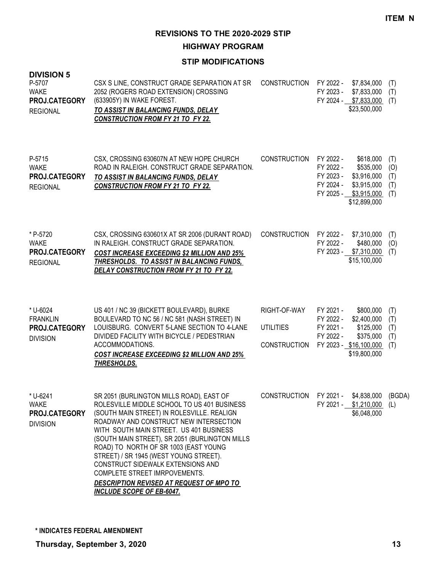**HIGHWAY PROGRAM**

| <b>DIVISION 5</b><br>P-5707<br><b>WAKE</b><br>PROJ.CATEGORY<br><b>REGIONAL</b> | CSX S LINE, CONSTRUCT GRADE SEPARATION AT SR<br>2052 (ROGERS ROAD EXTENSION) CROSSING<br>(633905Y) IN WAKE FOREST.<br>TO ASSIST IN BALANCING FUNDS, DELAY<br><b>CONSTRUCTION FROM FY 21 TO FY 22.</b>                                                                                                                                                                                                                                                                                                                 | <b>CONSTRUCTION</b>                              | FY 2022 -<br>FY 2023 -                           | \$7,834,000<br>\$7,833,000<br>FY 2024 - \$7,833,000<br>\$23,500,000                           | (T)<br>(T)<br>(T)               |
|--------------------------------------------------------------------------------|-----------------------------------------------------------------------------------------------------------------------------------------------------------------------------------------------------------------------------------------------------------------------------------------------------------------------------------------------------------------------------------------------------------------------------------------------------------------------------------------------------------------------|--------------------------------------------------|--------------------------------------------------|-----------------------------------------------------------------------------------------------|---------------------------------|
| P-5715<br><b>WAKE</b><br>PROJ.CATEGORY<br><b>REGIONAL</b>                      | CSX, CROSSING 630607N AT NEW HOPE CHURCH<br>ROAD IN RALEIGH. CONSTRUCT GRADE SEPARATION.<br>TO ASSIST IN BALANCING FUNDS, DELAY<br><b>CONSTRUCTION FROM FY 21 TO FY 22.</b>                                                                                                                                                                                                                                                                                                                                           | <b>CONSTRUCTION</b>                              | FY 2022 -<br>FY 2022 -<br>FY 2023 -<br>FY 2024 - | \$618,000<br>\$535,000<br>\$3,916,000<br>\$3,915,000<br>FY 2025 - \$3,915,000<br>\$12,899,000 | (T)<br>(0)<br>(T)<br>(T)<br>(T) |
| * P-5720<br><b>WAKE</b><br>PROJ.CATEGORY<br><b>REGIONAL</b>                    | CSX, CROSSING 630601X AT SR 2006 (DURANT ROAD)<br>IN RALEIGH. CONSTRUCT GRADE SEPARATION.<br><b>COST INCREASE EXCEEDING \$2 MILLION AND 25%</b><br>THRESHOLDS. TO ASSIST IN BALANCING FUNDS,<br>DELAY CONSTRUCTION FROM FY 21 TO FY 22.                                                                                                                                                                                                                                                                               | <b>CONSTRUCTION</b>                              | FY 2022 -<br>FY 2022 -                           | \$7,310,000<br>\$480,000<br>FY 2023 - \$7,310,000<br>\$15,100,000                             | (T)<br>(O)<br>(T)               |
| * U-6024<br><b>FRANKLIN</b><br>PROJ.CATEGORY<br><b>DIVISION</b>                | US 401 / NC 39 (BICKETT BOULEVARD), BURKE<br>BOULEVARD TO NC 56 / NC 581 (NASH STREET) IN<br>LOUISBURG. CONVERT 5-LANE SECTION TO 4-LANE<br>DIVIDED FACILITY WITH BICYCLE / PEDESTRIAN<br>ACCOMMODATIONS.<br><b>COST INCREASE EXCEEDING \$2 MILLION AND 25%</b><br>THRESHOLDS.                                                                                                                                                                                                                                        | RIGHT-OF-WAY<br><b>UTILITIES</b><br>CONSTRUCTION | FY 2021 -<br>FY 2022 -<br>FY 2021 -<br>FY 2022 - | \$800,000<br>\$2,400,000<br>\$125,000<br>\$375,000<br>FY 2023 - \$16,100,000<br>\$19,800,000  | (T)<br>(T)<br>(T)<br>(T)<br>(T) |
| * U-6241<br><b>WAKE</b><br>PROJ.CATEGORY<br><b>DIVISION</b>                    | SR 2051 (BURLINGTON MILLS ROAD), EAST OF<br>ROLESVILLE MIDDLE SCHOOL TO US 401 BUSINESS<br>(SOUTH MAIN STREET) IN ROLESVILLE. REALIGN<br>ROADWAY AND CONSTRUCT NEW INTERSECTION<br>WITH SOUTH MAIN STREET. US 401 BUSINESS<br>(SOUTH MAIN STREET), SR 2051 (BURLINGTON MILLS<br>ROAD) TO NORTH OF SR 1003 (EAST YOUNG<br>STREET) / SR 1945 (WEST YOUNG STREET).<br>CONSTRUCT SIDEWALK EXTENSIONS AND<br>COMPLETE STREET IMRPOVEMENTS.<br>DESCRIPTION REVISED AT REQUEST OF MPO TO<br><b>INCLUDE SCOPE OF EB-6047.</b> | <b>CONSTRUCTION</b>                              |                                                  | FY 2021 - \$4,838,000<br>FY 2021 - \$1,210,000<br>\$6,048,000                                 | (BGDA)<br>(L)                   |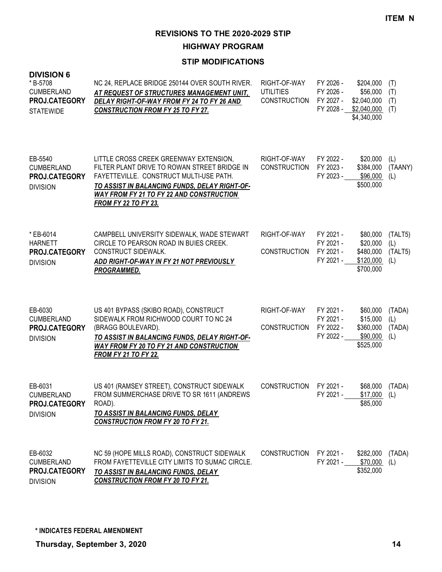**HIGHWAY PROGRAM**

| <b>DIVISION 6</b><br>*B-5708<br><b>CUMBERLAND</b><br><b>PROJ.CATEGORY</b><br><b>STATEWIDE</b> | NC 24, REPLACE BRIDGE 250144 OVER SOUTH RIVER.<br>AT REQUEST OF STRUCTURES MANAGEMENT UNIT,<br>DELAY RIGHT-OF-WAY FROM FY 24 TO FY 26 AND<br><b>CONSTRUCTION FROM FY 25 TO FY 27.</b>                                                                                | RIGHT-OF-WAY<br><b>UTILITIES</b><br><b>CONSTRUCTION</b> | FY 2026 -<br>FY 2026 -<br>FY 2027 -<br>FY 2028 - | \$204,000<br>\$56,000<br>\$2,040,000<br>\$2,040,000<br>\$4,340,000 | (T)<br>(T)<br>(T)<br>(T)         |
|-----------------------------------------------------------------------------------------------|----------------------------------------------------------------------------------------------------------------------------------------------------------------------------------------------------------------------------------------------------------------------|---------------------------------------------------------|--------------------------------------------------|--------------------------------------------------------------------|----------------------------------|
| EB-5540<br><b>CUMBERLAND</b><br>PROJ.CATEGORY<br><b>DIVISION</b>                              | LITTLE CROSS CREEK GREENWAY EXTENSION,<br>FILTER PLANT DRIVE TO ROWAN STREET BRIDGE IN<br>FAYETTEVILLE. CONSTRUCT MULTI-USE PATH.<br>TO ASSIST IN BALANCING FUNDS, DELAY RIGHT-OF-<br><b>WAY FROM FY 21 TO FY 22 AND CONSTRUCTION</b><br><b>FROM FY 22 TO FY 23.</b> | RIGHT-OF-WAY<br><b>CONSTRUCTION</b>                     | FY 2022 -<br>FY 2023 -<br>FY 2023 -              | \$20,000<br>\$384,000<br>\$96,000<br>\$500,000                     | (L)<br>(TAANY)<br>(L)            |
| * EB-6014<br><b>HARNETT</b><br>PROJ.CATEGORY<br><b>DIVISION</b>                               | CAMPBELL UNIVERSITY SIDEWALK, WADE STEWART<br>CIRCLE TO PEARSON ROAD IN BUIES CREEK.<br><b>CONSTRUCT SIDEWALK.</b><br>ADD RIGHT-OF-WAY IN FY 21 NOT PREVIOUSLY<br>PROGRAMMED.                                                                                        | RIGHT-OF-WAY<br><b>CONSTRUCTION</b>                     | FY 2021 -<br>FY 2021 -<br>FY 2021 -<br>FY 2021 - | \$80,000<br>\$20,000<br>\$480,000<br>\$120,000<br>\$700,000        | (TALT5)<br>(L)<br>(TALT5)<br>(L) |
| EB-6030<br><b>CUMBERLAND</b><br>PROJ.CATEGORY<br><b>DIVISION</b>                              | US 401 BYPASS (SKIBO ROAD), CONSTRUCT<br>SIDEWALK FROM RICHWOOD COURT TO NC 24<br>(BRAGG BOULEVARD).<br>TO ASSIST IN BALANCING FUNDS, DELAY RIGHT-OF-<br><b>WAY FROM FY 20 TO FY 21 AND CONSTRUCTION</b><br><b>FROM FY 21 TO FY 22.</b>                              | RIGHT-OF-WAY<br><b>CONSTRUCTION</b>                     | FY 2021 -<br>FY 2021 -<br>FY 2022 -<br>FY 2022 - | \$60,000<br>\$15,000<br>\$360,000<br>\$90,000<br>\$525,000         | (TADA)<br>(L)<br>(TADA)<br>(L)   |
| EB-6031<br><b>CUMBERLAND</b><br>PROJ.CATEGORY<br><b>DIVISION</b>                              | US 401 (RAMSEY STREET), CONSTRUCT SIDEWALK<br>FROM SUMMERCHASE DRIVE TO SR 1611 (ANDREWS<br>ROAD).<br>TO ASSIST IN BALANCING FUNDS, DELAY<br><b>CONSTRUCTION FROM FY 20 TO FY 21.</b>                                                                                | <b>CONSTRUCTION</b>                                     | FY 2021 -<br>FY 2021 -                           | \$68,000<br>$$17,000$ (L)<br>\$85,000                              | (TADA)                           |
| EB-6032<br><b>CUMBERLAND</b><br>PROJ.CATEGORY<br><b>DIVISION</b>                              | NC 59 (HOPE MILLS ROAD), CONSTRUCT SIDEWALK<br>FROM FAYETTEVILLE CITY LIMITS TO SUMAC CIRCLE.<br>TO ASSIST IN BALANCING FUNDS, DELAY<br><b>CONSTRUCTION FROM FY 20 TO FY 21.</b>                                                                                     | <b>CONSTRUCTION</b>                                     | FY 2021 -<br>FY 2021 -                           | \$282,000<br>\$70,000<br>\$352,000                                 | (TADA)<br>(L)                    |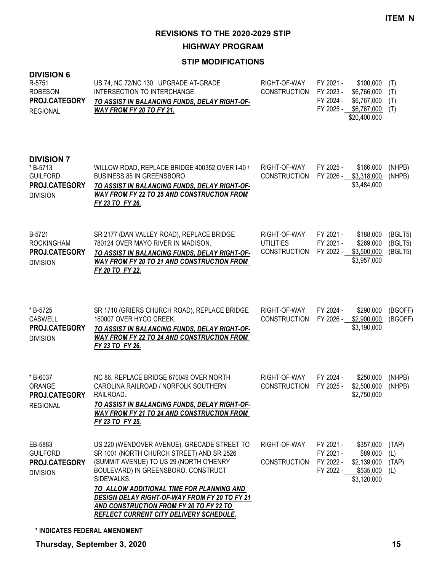**HIGHWAY PROGRAM**

| <b>DIVISION 6</b><br>R-5751<br><b>ROBESON</b><br>PROJ.CATEGORY<br><b>REGIONAL</b>   | US 74, NC 72/NC 130. UPGRADE AT-GRADE<br>INTERSECTION TO INTERCHANGE.<br>TO ASSIST IN BALANCING FUNDS, DELAY RIGHT-OF-<br><b>WAY FROM FY 20 TO FY 21.</b>                                                                                                                                                                                                                           | RIGHT-OF-WAY<br><b>CONSTRUCTION</b>                     | FY 2021 -<br>FY 2023 -<br>FY 2024 - | \$100,000<br>\$6,766,000<br>\$6,767,000<br>FY 2025 - \$6,767,000<br>\$20,400,000 | (T)<br>(T)<br>(T)<br>(T)      |
|-------------------------------------------------------------------------------------|-------------------------------------------------------------------------------------------------------------------------------------------------------------------------------------------------------------------------------------------------------------------------------------------------------------------------------------------------------------------------------------|---------------------------------------------------------|-------------------------------------|----------------------------------------------------------------------------------|-------------------------------|
| <b>DIVISION 7</b><br>*B-5713<br><b>GUILFORD</b><br>PROJ.CATEGORY<br><b>DIVISION</b> | WILLOW ROAD, REPLACE BRIDGE 400352 OVER 1-40 /<br>BUSINESS 85 IN GREENSBORO.<br>TO ASSIST IN BALANCING FUNDS, DELAY RIGHT-OF-<br><b>WAY FROM FY 22 TO 25 AND CONSTRUCTION FROM</b><br>FY 23 TO FY 26.                                                                                                                                                                               | RIGHT-OF-WAY<br><b>CONSTRUCTION</b>                     | FY 2025 -<br>FY 2026 -              | \$166,000<br>\$3,318,000<br>\$3,484,000                                          | (NHPB)<br>(NHPB)              |
| B-5721<br><b>ROCKINGHAM</b><br>PROJ.CATEGORY<br><b>DIVISION</b>                     | SR 2177 (DAN VALLEY ROAD), REPLACE BRIDGE<br>780124 OVER MAYO RIVER IN MADISON.<br>TO ASSIST IN BALANCING FUNDS, DELAY RIGHT-OF-<br><b>WAY FROM FY 20 TO 21 AND CONSTRUCTION FROM</b><br>FY 20 TO FY 22.                                                                                                                                                                            | RIGHT-OF-WAY<br><b>UTILITIES</b><br><b>CONSTRUCTION</b> | FY 2021 -<br>FY 2021 -<br>FY 2022 - | \$188,000<br>\$269,000<br>\$3,500,000<br>\$3,957,000                             | (BGLT5)<br>(BGLT5)<br>(BGLT5) |
| *B-5725<br><b>CASWELL</b><br>PROJ.CATEGORY<br><b>DIVISION</b>                       | SR 1710 (GRIERS CHURCH ROAD), REPLACE BRIDGE<br>160007 OVER HYCO CREEK.<br>TO ASSIST IN BALANCING FUNDS, DELAY RIGHT-OF-<br><b>WAY FROM FY 22 TO 24 AND CONSTRUCTION FROM</b><br>FY 23 TO FY 26.                                                                                                                                                                                    | RIGHT-OF-WAY<br>CONSTRUCTION                            | FY 2024 -                           | \$290,000<br>FY 2026 - \$2,900,000<br>\$3,190,000                                | (BGOFF)<br>(BGOFF)            |
| *B-6037<br>ORANGE<br>PROJ.CATEGORY RAILROAD.<br><b>REGIONAL</b>                     | NC 86, REPLACE BRIDGE 670049 OVER NORTH<br>CAROLINA RAILROAD / NORFOLK SOUTHERN<br><u>TO ASSIST IN BALANCING FUNDS, DELAY RIGHT-OF-</u><br><b>WAY FROM FY 21 TO 24 AND CONSTRUCTION FROM</b><br>FY 23 TO FY 25.                                                                                                                                                                     | RIGHT-OF-WAY<br><b>CONSTRUCTION</b>                     | FY 2024 -<br>FY 2025 -              | \$250,000<br>\$2,500,000<br>\$2,750,000                                          | (NHPB)<br>(NHPB)              |
| EB-5883<br><b>GUILFORD</b><br>PROJ.CATEGORY<br><b>DIVISION</b>                      | US 220 (WENDOVER AVENUE), GRECADE STREET TO<br>SR 1001 (NORTH CHURCH STREET) AND SR 2526<br>(SUMMIT AVENUE) TO US 29 (NORTH O'HENRY<br>BOULEVARD) IN GREENSBORO. CONSTRUCT<br>SIDEWALKS.<br>TO ALLOW ADDITIONAL TIME FOR PLANNING AND<br>DESIGN DELAY RIGHT-OF-WAY FROM FY 20 TO FY 21<br>AND CONSTRUCTION FROM FY 20 TO FY 22 TO<br><b>REFLECT CURRENT CITY DELIVERY SCHEDULE.</b> | RIGHT-OF-WAY<br><b>CONSTRUCTION</b>                     | FY 2021 -<br>FY 2021 -<br>FY 2022 - | \$357,000<br>\$89,000<br>\$2,139,000<br>FY 2022 - \$535,000<br>\$3,120,000       | (TAP)<br>(L)<br>(TAP)<br>(L)  |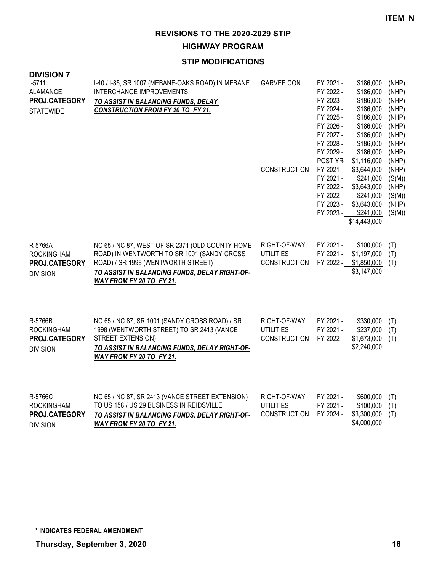**HIGHWAY PROGRAM**

| <b>DIVISION 7</b><br>$1-5711$<br><b>ALAMANCE</b><br>PROJ.CATEGORY<br><b>STATEWIDE</b> | I-40 / I-85, SR 1007 (MEBANE-OAKS ROAD) IN MEBANE.<br>INTERCHANGE IMPROVEMENTS.<br>TO ASSIST IN BALANCING FUNDS, DELAY<br><b>CONSTRUCTION FROM FY 20 TO FY 21.</b>                                               | <b>GARVEE CON</b><br><b>CONSTRUCTION</b>                | FY 2021 -<br>FY 2022 -<br>FY 2023 -<br>FY 2024 -<br>FY 2025 -<br>FY 2026 -<br>FY 2027 -<br>FY 2028 -<br>FY 2029 -<br>POST YR-<br>FY 2021 -<br>FY 2021 -<br>FY 2022 -<br>FY 2022 -<br>FY 2023 -<br>FY 2023 - | \$186,000<br>\$186,000<br>\$186,000<br>\$186,000<br>\$186,000<br>\$186,000<br>\$186,000<br>\$186,000<br>\$186,000<br>\$1,116,000<br>\$3,644,000<br>\$241,000<br>\$3,643,000<br>\$241,000<br>\$3,643,000<br>\$241,000<br>\$14,443,000 | (NHP)<br>(NHP)<br>(NHP)<br>(NHP)<br>(NHP)<br>(NHP)<br>(NHP)<br>(NHP)<br>(NHP)<br>(NHP)<br>(NHP)<br>(S(M))<br>(NHP)<br>(S(M))<br>(NHP)<br>(S(M)) |
|---------------------------------------------------------------------------------------|------------------------------------------------------------------------------------------------------------------------------------------------------------------------------------------------------------------|---------------------------------------------------------|-------------------------------------------------------------------------------------------------------------------------------------------------------------------------------------------------------------|--------------------------------------------------------------------------------------------------------------------------------------------------------------------------------------------------------------------------------------|-------------------------------------------------------------------------------------------------------------------------------------------------|
| R-5766A<br><b>ROCKINGHAM</b><br>PROJ.CATEGORY<br><b>DIVISION</b>                      | NC 65 / NC 87, WEST OF SR 2371 (OLD COUNTY HOME<br>ROAD) IN WENTWORTH TO SR 1001 (SANDY CROSS<br>ROAD) / SR 1998 (WENTWORTH STREET)<br>TO ASSIST IN BALANCING FUNDS, DELAY RIGHT-OF-<br>WAY FROM FY 20 TO FY 21. | RIGHT-OF-WAY<br><b>UTILITIES</b><br><b>CONSTRUCTION</b> | FY 2021 -<br>FY 2021 -<br>FY 2022 -                                                                                                                                                                         | \$100,000<br>\$1,197,000<br>\$1,850,000<br>\$3,147,000                                                                                                                                                                               | (T)<br>(T)<br>(T)                                                                                                                               |
| R-5766B<br><b>ROCKINGHAM</b><br>PROJ.CATEGORY<br><b>DIVISION</b>                      | NC 65 / NC 87, SR 1001 (SANDY CROSS ROAD) / SR<br>1998 (WENTWORTH STREET) TO SR 2413 (VANCE<br>STREET EXTENSION)<br>TO ASSIST IN BALANCING FUNDS, DELAY RIGHT-OF-<br><b>WAY FROM FY 20 TO FY 21.</b>             | RIGHT-OF-WAY<br><b>UTILITIES</b><br><b>CONSTRUCTION</b> | FY 2021 -<br>FY 2021 -<br>FY 2022 -                                                                                                                                                                         | \$330,000<br>\$237,000<br>\$1,673,000<br>\$2,240,000                                                                                                                                                                                 | (T)<br>(T)<br>(T)                                                                                                                               |

| R-5766C              | NC 65 / NC 87, SR 2413 (VANCE STREET EXTENSION) | RIGHT-OF-WAY                           | FY 2021 - | $$600,000$ (T) |  |
|----------------------|-------------------------------------------------|----------------------------------------|-----------|----------------|--|
| ROCKINGHAM           | TO US 158 / US 29 BUSINESS IN REIDSVILLE        | UTILITIES                              | FY 2021 - | $$100,000$ (T) |  |
| <b>PROJ.CATEGORY</b> | TO ASSIST IN BALANCING FUNDS, DELAY RIGHT-OF-   | CONSTRUCTION FY 2024 - \$3,300,000 (T) |           |                |  |
| <b>DIVISION</b>      | WAY FROM FY 20 TO FY 21.                        |                                        |           | \$4,000,000    |  |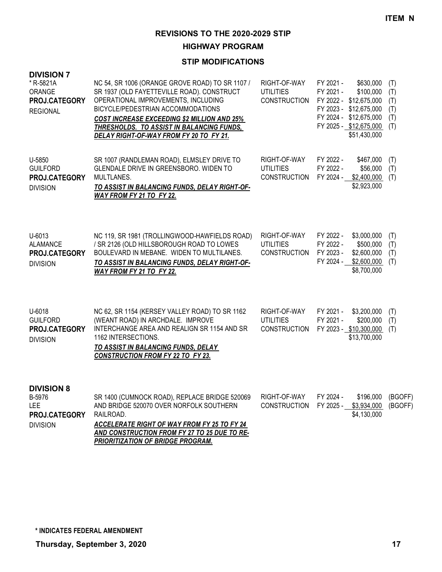**HIGHWAY PROGRAM**

| <b>DIVISION 7</b><br>* R-5821A<br><b>ORANGE</b><br>PROJ.CATEGORY<br><b>REGIONAL</b> | NC 54, SR 1006 (ORANGE GROVE ROAD) TO SR 1107 /<br>SR 1937 (OLD FAYETTEVILLE ROAD). CONSTRUCT<br>OPERATIONAL IMPROVEMENTS, INCLUDING<br>BICYCLE/PEDESTRIAN ACCOMMODATIONS<br><b>COST INCREASE EXCEEDING \$2 MILLION AND 25%</b><br>THRESHOLDS. TO ASSIST IN BALANCING FUNDS,<br>DELAY RIGHT-OF-WAY FROM FY 20 TO FY 21. | RIGHT-OF-WAY<br><b>UTILITIES</b><br><b>CONSTRUCTION</b> | FY 2021 -<br>\$630,000<br>FY 2021 -<br>\$100,000<br>FY 2022 - \$12,675,000<br>FY 2023 - \$12,675,000<br>FY 2024 - \$12,675,000<br>FY 2025 - \$12,675,000<br>\$51,430,000 | (T)<br>(T)<br>(T)<br>(T)<br>(T)<br>(T) |
|-------------------------------------------------------------------------------------|-------------------------------------------------------------------------------------------------------------------------------------------------------------------------------------------------------------------------------------------------------------------------------------------------------------------------|---------------------------------------------------------|--------------------------------------------------------------------------------------------------------------------------------------------------------------------------|----------------------------------------|
| U-5850<br><b>GUILFORD</b><br>PROJ.CATEGORY<br><b>DIVISION</b>                       | SR 1007 (RANDLEMAN ROAD), ELMSLEY DRIVE TO<br>GLENDALE DRIVE IN GREENSBORO. WIDEN TO<br>MULTLANES.<br>TO ASSIST IN BALANCING FUNDS, DELAY RIGHT-OF-<br>WAY FROM FY 21 TO FY 22.                                                                                                                                         | RIGHT-OF-WAY<br><b>UTILITIES</b><br><b>CONSTRUCTION</b> | FY 2022 -<br>\$467,000<br>FY 2022 -<br>\$56,000<br>FY 2024 -<br>\$2,400,000<br>\$2,923,000                                                                               | (T)<br>(T)<br>(T)                      |
| U-6013<br><b>ALAMANCE</b><br>PROJ.CATEGORY<br><b>DIVISION</b>                       | NC 119, SR 1981 (TROLLINGWOOD-HAWFIELDS ROAD)<br>/ SR 2126 (OLD HILLSBOROUGH ROAD TO LOWES<br>BOULEVARD IN MEBANE. WIDEN TO MULTILANES.<br>TO ASSIST IN BALANCING FUNDS, DELAY RIGHT-OF-<br>WAY FROM FY 21 TO FY 22.                                                                                                    | RIGHT-OF-WAY<br><b>UTILITIES</b><br><b>CONSTRUCTION</b> | FY 2022 -<br>\$3,000,000<br>FY 2022 -<br>\$500,000<br>FY 2023 -<br>\$2,600,000<br>FY 2024 -<br>\$2,600,000<br>\$8,700,000                                                | (T)<br>(T)<br>(T)<br>(T)               |
| U-6018<br><b>GUILFORD</b><br>PROJ.CATEGORY<br><b>DIVISION</b>                       | NC 62, SR 1154 (KERSEY VALLEY ROAD) TO SR 1162<br>(WEANT ROAD) IN ARCHDALE. IMPROVE<br>INTERCHANGE AREA AND REALIGN SR 1154 AND SR<br>1162 INTERSECTIONS.<br>TO ASSIST IN BALANCING FUNDS, DELAY<br><b>CONSTRUCTION FROM FY 22 TO FY 23.</b>                                                                            | RIGHT-OF-WAY<br><b>UTILITIES</b><br>CONSTRUCTION        | FY 2021 -<br>\$3,200,000<br>FY 2021 -<br>\$200,000<br>FY 2023 - \$10,300,000<br>\$13,700,000                                                                             | (T)<br>(T)<br>(T)                      |
| <b>DIVISION 8</b><br>B-5976<br><b>LEE</b><br>PROJ.CATEGORY<br><b>DIVISION</b>       | SR 1400 (CUMNOCK ROAD), REPLACE BRIDGE 520069<br>AND BRIDGE 520070 OVER NORFOLK SOUTHERN<br>RAILROAD.<br>ACCELERATE RIGHT OF WAY FROM FY 25 TO FY 24<br>AND CONSTRUCTION FROM FY 27 TO 25 DUE TO RE-<br>PRIORITIZATION OF BRIDGE PROGRAM.                                                                               | RIGHT-OF-WAY<br><b>CONSTRUCTION</b>                     | FY 2024 -<br>\$196,000<br>FY 2025 -<br>\$3,934,000<br>\$4,130,000                                                                                                        | (BGOFF)<br>(BGOFF)                     |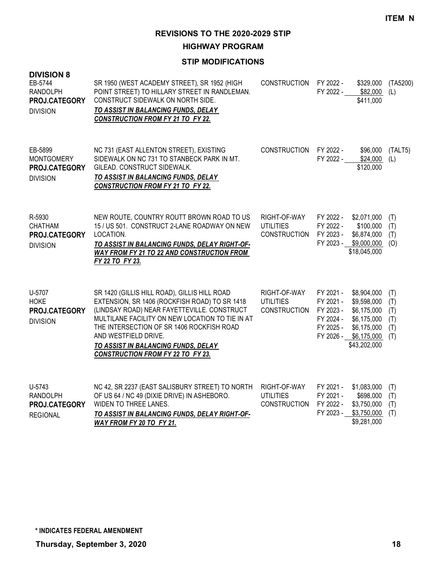**HIGHWAY PROGRAM**

| <b>DIVISION 8</b><br>EB-5744<br><b>RANDOLPH</b><br>PROJ.CATEGORY<br><b>DIVISION</b> | SR 1950 (WEST ACADEMY STREET), SR 1952 (HIGH<br>POINT STREET) TO HILLARY STREET IN RANDLEMAN.<br>CONSTRUCT SIDEWALK ON NORTH SIDE.<br>TO ASSIST IN BALANCING FUNDS, DELAY<br><b>CONSTRUCTION FROM FY 21 TO FY 22.</b>                                                                                                                                   | <b>CONSTRUCTION</b>                                     | FY 2022 -<br>FY 2022 -                                        | \$329,000<br>\$82,000<br>\$411,000                                                                               | (TA5200)<br>(L)                        |
|-------------------------------------------------------------------------------------|---------------------------------------------------------------------------------------------------------------------------------------------------------------------------------------------------------------------------------------------------------------------------------------------------------------------------------------------------------|---------------------------------------------------------|---------------------------------------------------------------|------------------------------------------------------------------------------------------------------------------|----------------------------------------|
| EB-5899<br><b>MONTGOMERY</b><br>PROJ.CATEGORY<br><b>DIVISION</b>                    | NC 731 (EAST ALLENTON STREET), EXISTING<br>SIDEWALK ON NC 731 TO STANBECK PARK IN MT.<br>GILEAD. CONSTRUCT SIDEWALK.<br>TO ASSIST IN BALANCING FUNDS, DELAY<br><b>CONSTRUCTION FROM FY 21 TO FY 22.</b>                                                                                                                                                 | <b>CONSTRUCTION</b>                                     | FY 2022 -<br>FY 2022 -                                        | \$96,000<br>\$24,000<br>\$120,000                                                                                | (TALT5)<br>(L)                         |
| R-5930<br><b>CHATHAM</b><br>PROJ.CATEGORY<br><b>DIVISION</b>                        | NEW ROUTE, COUNTRY ROUTT BROWN ROAD TO US<br>15 / US 501. CONSTRUCT 2-LANE ROADWAY ON NEW<br>LOCATION.<br>TO ASSIST IN BALANCING FUNDS, DELAY RIGHT-OF-<br><b>WAY FROM FY 21 TO 22 AND CONSTRUCTION FROM</b><br>FY 22 TO FY 23.                                                                                                                         | RIGHT-OF-WAY<br><b>UTILITIES</b><br><b>CONSTRUCTION</b> | FY 2022 -<br>FY 2022 -<br>FY 2023 -<br>FY 2023 -              | \$2,071,000<br>\$100,000<br>\$6,874,000<br>\$9,000,000<br>\$18,045,000                                           | (T)<br>(T)<br>(T)<br>(O)               |
| U-5707<br><b>HOKE</b><br>PROJ.CATEGORY<br><b>DIVISION</b>                           | SR 1420 (GILLIS HILL ROAD), GILLIS HILL ROAD<br>EXTENSION, SR 1406 (ROCKFISH ROAD) TO SR 1418<br>(LINDSAY ROAD) NEAR FAYETTEVILLE. CONSTRUCT<br>MULTILANE FACILITY ON NEW LOCATION TO TIE IN AT<br>THE INTERSECTION OF SR 1406 ROCKFISH ROAD<br>AND WESTFIELD DRIVE.<br>TO ASSIST IN BALANCING FUNDS, DELAY<br><b>CONSTRUCTION FROM FY 22 TO FY 23.</b> | RIGHT-OF-WAY<br><b>UTILITIES</b><br><b>CONSTRUCTION</b> | FY 2021 -<br>FY 2021 -<br>FY 2023 -<br>FY 2024 -<br>FY 2025 - | \$8,904,000<br>\$9,598,000<br>\$6,175,000<br>\$6,175,000<br>\$6,175,000<br>FY 2026 - \$6,175,000<br>\$43,202,000 | (T)<br>(T)<br>(T)<br>(T)<br>(T)<br>(T) |
| U-5743<br><b>RANDOLPH</b><br>PROJ.CATEGORY<br><b>REGIONAL</b>                       | NC 42, SR 2237 (EAST SALISBURY STREET) TO NORTH<br>OF US 64 / NC 49 (DIXIE DRIVE) IN ASHEBORO.<br>WIDEN TO THREE LANES.<br>TO ASSIST IN BALANCING FUNDS, DELAY RIGHT-OF-<br>WAY FROM FY 20 TO FY 21.                                                                                                                                                    | RIGHT-OF-WAY<br><b>UTILITIES</b><br><b>CONSTRUCTION</b> | FY 2021 -<br>FY 2021 -<br>FY 2022 -<br>FY 2023 -              | \$1,083,000<br>\$698,000<br>\$3,750,000<br>\$3,750,000<br>\$9,281,000                                            | (T)<br>(T)<br>(T)<br>(T)               |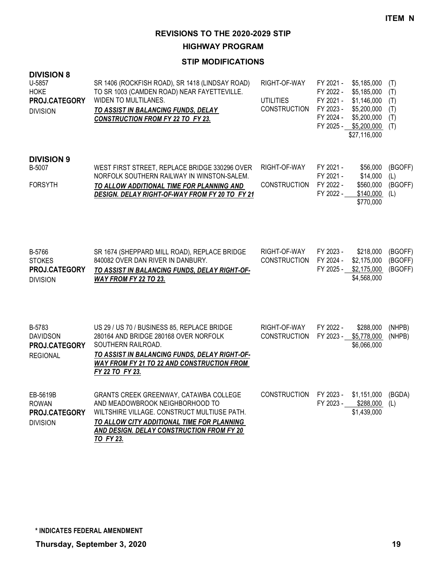**HIGHWAY PROGRAM**

| <b>DIVISION 8</b><br>U-5857<br><b>HOKE</b><br>PROJ.CATEGORY<br><b>DIVISION</b> | SR 1406 (ROCKFISH ROAD), SR 1418 (LINDSAY ROAD)<br>TO SR 1003 (CAMDEN ROAD) NEAR FAYETTEVILLE.<br>WIDEN TO MULTILANES.<br>TO ASSIST IN BALANCING FUNDS, DELAY<br><b>CONSTRUCTION FROM FY 22 TO FY 23.</b>                                  | RIGHT-OF-WAY<br><b>UTILITIES</b><br><b>CONSTRUCTION</b> | FY 2021 -<br>FY 2022 -<br>FY 2021 -<br>FY 2023 -<br>FY 2024 - | \$5,185,000<br>\$5,185,000<br>\$1,146,000<br>\$5,200,000<br>\$5,200,000<br>FY 2025 - \$5,200,000<br>\$27,116,000 | (T)<br>(T)<br>(T)<br>(T)<br>(T)<br>(T) |
|--------------------------------------------------------------------------------|--------------------------------------------------------------------------------------------------------------------------------------------------------------------------------------------------------------------------------------------|---------------------------------------------------------|---------------------------------------------------------------|------------------------------------------------------------------------------------------------------------------|----------------------------------------|
| <b>DIVISION 9</b><br>B-5007<br><b>FORSYTH</b>                                  | WEST FIRST STREET, REPLACE BRIDGE 330296 OVER<br>NORFOLK SOUTHERN RAILWAY IN WINSTON-SALEM.<br>TO ALLOW ADDITIONAL TIME FOR PLANNING AND<br>DESIGN. DELAY RIGHT-OF-WAY FROM FY 20 TO FY 21                                                 | RIGHT-OF-WAY<br><b>CONSTRUCTION</b>                     | FY 2021 -<br>FY 2021 -<br>FY 2022 -<br>FY 2022 -              | \$56,000<br>\$14,000<br>\$560,000<br>\$140,000<br>\$770,000                                                      | (BGOFF)<br>(L)<br>(BGOFF)<br>(L)       |
| B-5766<br><b>STOKES</b><br>PROJ.CATEGORY<br><b>DIVISION</b>                    | SR 1674 (SHEPPARD MILL ROAD), REPLACE BRIDGE<br>840082 OVER DAN RIVER IN DANBURY.<br>TO ASSIST IN BALANCING FUNDS, DELAY RIGHT-OF-<br>WAY FROM FY 22 TO 23.                                                                                | RIGHT-OF-WAY<br><b>CONSTRUCTION</b>                     | FY 2023 -<br>FY 2024 -                                        | \$218,000<br>\$2,175,000<br>FY 2025 - \$2,175,000<br>\$4,568,000                                                 | (BGOFF)<br>(BGOFF)<br>(BGOFF)          |
| B-5783<br><b>DAVIDSON</b><br>PROJ.CATEGORY<br><b>REGIONAL</b>                  | US 29 / US 70 / BUSINESS 85, REPLACE BRIDGE<br>280164 AND BRIDGE 280168 OVER NORFOLK<br>SOUTHERN RAILROAD.<br><u>TO ASSIST IN BALANCING FUNDS, DELAY RIGHT-OF-</u><br><b>WAY FROM FY 21 TO 22 AND CONSTRUCTION FROM</b><br>FY 22 TO FY 23. | RIGHT-OF-WAY<br><b>CONSTRUCTION</b>                     | FY 2022 -<br>FY 2023 -                                        | \$288,000<br>\$5,778,000<br>\$6,066,000                                                                          | (NHPB)<br>(NHPB)                       |
| EB-5619B<br><b>ROWAN</b><br>PROJ.CATEGORY<br><b>DIVISION</b>                   | GRANTS CREEK GREENWAY, CATAWBA COLLEGE<br>AND MEADOWBROOK NEIGHBORHOOD TO<br>WILTSHIRE VILLAGE. CONSTRUCT MULTIUSE PATH.<br>TO ALLOW CITY ADDITIONAL TIME FOR PLANNING<br>AND DESIGN. DELAY CONSTRUCTION FROM FY 20<br><b>TO FY 23.</b>    | <b>CONSTRUCTION</b>                                     | FY 2023 -<br>FY 2023 -                                        | \$1,151,000<br>\$288,000<br>\$1,439,000                                                                          | (BGDA)<br>(L)                          |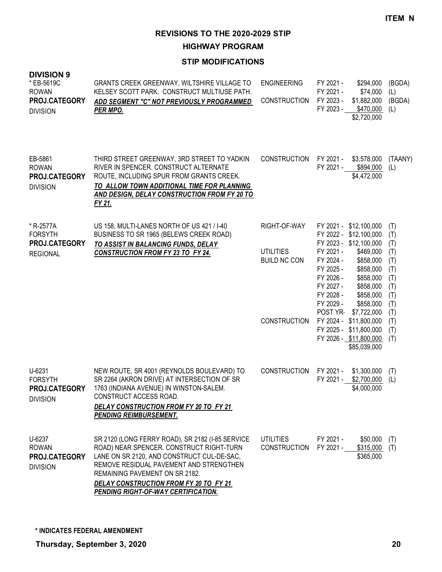**HIGHWAY PROGRAM**

| <b>DIVISION 9</b><br>* EB-5619C<br><b>ROWAN</b><br>PROJ.CATEGORY<br><b>DIVISION</b> | GRANTS CREEK GREENWAY, WILTSHIRE VILLAGE TO<br>KELSEY SCOTT PARK. CONSTRUCT MULTIUSE PATH.<br>ADD SEGMENT "C" NOT PREVIOUSLY PROGRAMMED<br><b>PER MPO.</b>                                                                                                                                               | <b>ENGINEERING</b><br><b>CONSTRUCTION</b>                                      | FY 2021 -<br>\$294,000<br>FY 2021 -<br>\$74,000<br>FY 2023 -<br>\$1,882,000<br>FY 2023 -<br>\$470,000<br>\$2,720,000                                                                                                                                                                                                                                                                      | (BGDA)<br>(L)<br>(BGDA)<br>(L)                                                                 |
|-------------------------------------------------------------------------------------|----------------------------------------------------------------------------------------------------------------------------------------------------------------------------------------------------------------------------------------------------------------------------------------------------------|--------------------------------------------------------------------------------|-------------------------------------------------------------------------------------------------------------------------------------------------------------------------------------------------------------------------------------------------------------------------------------------------------------------------------------------------------------------------------------------|------------------------------------------------------------------------------------------------|
| EB-5861<br><b>ROWAN</b><br>PROJ.CATEGORY<br><b>DIVISION</b>                         | THIRD STREET GREENWAY, 3RD STREET TO YADKIN<br>RIVER IN SPENCER. CONSTRUCT ALTERNATE<br>ROUTE, INCLUDING SPUR FROM GRANTS CREEK.<br>TO ALLOW TOWN ADDITIONAL TIME FOR PLANNING<br>AND DESIGN, DELAY CONSTRUCTION FROM FY 20 TO<br>FY 21.                                                                 | <b>CONSTRUCTION</b>                                                            | FY 2021 -<br>\$3,578,000<br>FY 2021 -<br>\$894,000<br>\$4,472,000                                                                                                                                                                                                                                                                                                                         | (TAANY)<br>(L)                                                                                 |
| * R-2577A<br><b>FORSYTH</b><br><b>PROJ.CATEGORY</b><br><b>REGIONAL</b>              | US 158, MULTI-LANES NORTH OF US 421 / I-40<br>BUSINESS TO SR 1965 (BELEWS CREEK ROAD)<br>TO ASSIST IN BALANCING FUNDS, DELAY<br><b>CONSTRUCTION FROM FY 23 TO FY 24.</b>                                                                                                                                 | RIGHT-OF-WAY<br><b>UTILITIES</b><br><b>BUILD NC CON</b><br><b>CONSTRUCTION</b> | FY 2021 - \$12,100,000<br>FY 2022 - \$12,100,000<br>FY 2023 - \$12,100,000<br>FY 2021 -<br>\$469,000<br>FY 2024 -<br>\$858,000<br>\$858,000<br>FY 2025 -<br>FY 2026 -<br>\$858,000<br>FY 2027 -<br>\$858,000<br>FY 2028 -<br>\$858,000<br>FY 2029 -<br>\$858,000<br>POST YR-<br>\$7,722,000<br>FY 2024 - \$11,800,000<br>FY 2025 - \$11,800,000<br>FY 2026 - \$11,800,000<br>\$85,039,000 | (T)<br>(T)<br>(T)<br>(T)<br>(T)<br>(T)<br>(T)<br>(T)<br>(T)<br>(T)<br>(T)<br>(T)<br>(T)<br>(T) |
| U-6231<br><b>FORSYTH</b><br>PROJ.CATEGORY<br><b>DIVISION</b>                        | NEW ROUTE, SR 4001 (REYNOLDS BOULEVARD) TO<br>SR 2264 (AKRON DRIVE) AT INTERSECTION OF SR<br>1763 (INDIANA AVENUE) IN WINSTON-SALEM.<br>CONSTRUCT ACCESS ROAD.<br>DELAY CONSTRUCTION FROM FY 20 TO FY 21<br><b>PENDING REIMBURSEMENT.</b>                                                                | <b>CONSTRUCTION</b>                                                            | FY 2021 -<br>\$1,300,000<br>FY 2021 - \$2,700,000<br>\$4,000,000                                                                                                                                                                                                                                                                                                                          | (T)<br>(L)                                                                                     |
| U-6237<br><b>ROWAN</b><br>PROJ.CATEGORY<br><b>DIVISION</b>                          | SR 2120 (LONG FERRY ROAD), SR 2182 (I-85 SERVICE<br>ROAD) NEAR SPENCER. CONSTRUCT RIGHT-TURN<br>LANE ON SR 2120, AND CONSTRUCT CUL-DE-SAC,<br>REMOVE RESIDUAL PAVEMENT AND STRENGTHEN<br>REMAINING PAVEMENT ON SR 2182.<br>DELAY CONSTRUCTION FROM FY 20 TO FY 21<br>PENDING RIGHT-OF-WAY CERTIFICATION. | <b>UTILITIES</b><br><b>CONSTRUCTION</b>                                        | FY 2021 -<br>\$50,000<br>FY 2021 -<br>\$315,000<br>\$365,000                                                                                                                                                                                                                                                                                                                              | (T)<br>(T)                                                                                     |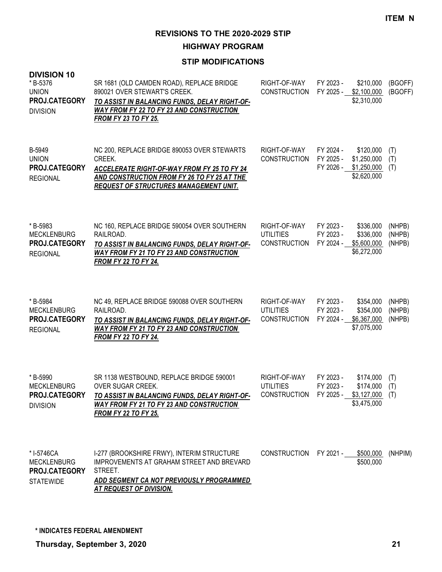**HIGHWAY PROGRAM**

# **STIP MODIFICATIONS**

| <b>DIVISION 10</b><br>* B-5376<br><b>UNION</b><br>PROJ.CATEGORY<br><b>DIVISION</b> | SR 1681 (OLD CAMDEN ROAD), REPLACE BRIDGE<br>890021 OVER STEWART'S CREEK.<br>TO ASSIST IN BALANCING FUNDS, DELAY RIGHT-OF-<br><b>WAY FROM FY 22 TO FY 23 AND CONSTRUCTION</b><br><b>FROM FY 23 TO FY 25.</b> | RIGHT-OF-WAY<br><b>CONSTRUCTION</b>                                    | FY 2023 -                           | \$210,000<br>FY 2025 - \$2,100,000<br>\$2,310,000                | (BGOFF)<br>(BGOFF)         |
|------------------------------------------------------------------------------------|--------------------------------------------------------------------------------------------------------------------------------------------------------------------------------------------------------------|------------------------------------------------------------------------|-------------------------------------|------------------------------------------------------------------|----------------------------|
| B-5949<br><b>UNION</b><br>PROJ.CATEGORY<br><b>REGIONAL</b>                         | NC 200, REPLACE BRIDGE 890053 OVER STEWARTS<br>CREEK.<br><b>ACCELERATE RIGHT-OF-WAY FROM FY 25 TO FY 24</b><br>AND CONSTRUCTION FROM FY 26 TO FY 25 AT THE<br><b>REQUEST OF STRUCTURES MANAGEMENT UNIT.</b>  | RIGHT-OF-WAY<br><b>CONSTRUCTION</b>                                    | FY 2024 -<br>FY 2025 -              | \$120,000<br>\$1,250,000<br>FY 2026 - \$1,250,000<br>\$2,620,000 | (T)<br>(T)<br>(T)          |
| * B-5983<br><b>MECKLENBURG</b><br>PROJ.CATEGORY<br><b>REGIONAL</b>                 | NC 160, REPLACE BRIDGE 590054 OVER SOUTHERN<br>RAILROAD.<br>TO ASSIST IN BALANCING FUNDS, DELAY RIGHT-OF-<br><b>WAY FROM FY 21 TO FY 23 AND CONSTRUCTION</b><br><b>FROM FY 22 TO FY 24.</b>                  | RIGHT-OF-WAY<br><b>UTILITIES</b><br><b>CONSTRUCTION</b>                | FY 2023 -<br>FY 2023 -<br>FY 2024 - | \$336,000<br>\$336,000<br>\$5,600,000<br>\$6,272,000             | (NHPB)<br>(NHPB)<br>(NHPB) |
| * B-5984<br><b>MECKLENBURG</b><br>PROJ.CATEGORY<br><b>REGIONAL</b>                 | NC 49, REPLACE BRIDGE 590088 OVER SOUTHERN<br>RAILROAD.<br>TO ASSIST IN BALANCING FUNDS, DELAY RIGHT-OF-<br><b>WAY FROM FY 21 TO FY 23 AND CONSTRUCTION</b><br><b>FROM FY 22 TO FY 24.</b>                   | RIGHT-OF-WAY<br><b>UTILITIES</b><br><b>CONSTRUCTION</b>                | FY 2023 -<br>FY 2023 -              | \$354,000<br>\$354,000<br>FY 2024 - \$6,367,000<br>\$7,075,000   | (NHPB)<br>(NHPB)<br>(NHPB) |
| * B-5990<br><b>MECKLENBURG</b><br>PROJ.CATEGORY<br><b>DIVISION</b>                 | SR 1138 WESTBOUND, REPLACE BRIDGE 590001<br>OVER SUGAR CREEK.<br>TO ASSIST IN BALANCING FUNDS, DELAY RIGHT-OF-<br>WAY FROM FY 21 TO FY 23 AND CONSTRUCTION<br><b>FROM FY 22 TO FY 25.</b>                    | RIGHT-OF-WAY<br><b>UTILITIES</b><br>CONSTRUCTION FY 2025 - \$3,127,000 | FY 2023 -<br>FY 2023 -              | \$174,000<br>\$174,000<br>\$3,475,000                            | (T)<br>(T)<br>(T)          |
| * I-5746CA<br><b>MECKLENBURG</b><br>PROJ.CATEGORY<br><b>STATEWIDE</b>              | I-277 (BROOKSHIRE FRWY), INTERIM STRUCTURE<br><b>IMPROVEMENTS AT GRAHAM STREET AND BREVARD</b><br>STREET.<br>ADD SEGMENT CA NOT PREVIOUSLY PROGRAMMED<br><b>AT REQUEST OF DIVISION.</b>                      | CONSTRUCTION FY 2021 -                                                 |                                     | \$500,000<br>\$500,000                                           | (NHPIM)                    |

**\* INDICATES FEDERAL AMENDMENT**

**Thursday, September 3, 2020 21**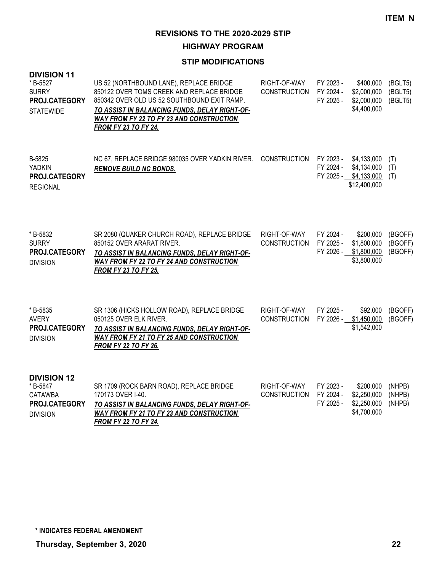**HIGHWAY PROGRAM**

| <b>DIVISION 11</b><br>*B-5527<br><b>SURRY</b><br>PROJ.CATEGORY<br><b>STATEWIDE</b>  | US 52 (NORTHBOUND LANE), REPLACE BRIDGE<br>850122 OVER TOMS CREEK AND REPLACE BRIDGE<br>850342 OVER OLD US 52 SOUTHBOUND EXIT RAMP.<br>TO ASSIST IN BALANCING FUNDS, DELAY RIGHT-OF-<br>WAY FROM FY 22 TO FY 23 AND CONSTRUCTION<br><b>FROM FY 23 TO FY 24.</b> | RIGHT-OF-WAY<br><b>CONSTRUCTION</b> | FY 2023 -<br>FY 2024 -<br>FY 2025 - | \$400,000<br>\$2,000,000<br>\$2,000,000<br>\$4,400,000              | (BGLT5)<br>(BGLT5)<br>(BGLT5) |
|-------------------------------------------------------------------------------------|-----------------------------------------------------------------------------------------------------------------------------------------------------------------------------------------------------------------------------------------------------------------|-------------------------------------|-------------------------------------|---------------------------------------------------------------------|-------------------------------|
| B-5825<br><b>YADKIN</b><br>PROJ.CATEGORY<br><b>REGIONAL</b>                         | NC 67, REPLACE BRIDGE 980035 OVER YADKIN RIVER. CONSTRUCTION<br><b>REMOVE BUILD NC BONDS.</b>                                                                                                                                                                   |                                     | FY 2023 -<br>FY 2024 -              | \$4,133,000<br>\$4,134,000<br>FY 2025 - \$4,133,000<br>\$12,400,000 | (T)<br>(T)<br>(T)             |
| *B-5832<br><b>SURRY</b><br>PROJ.CATEGORY<br><b>DIVISION</b>                         | SR 2080 (QUAKER CHURCH ROAD), REPLACE BRIDGE<br>850152 OVER ARARAT RIVER.<br>TO ASSIST IN BALANCING FUNDS, DELAY RIGHT-OF-<br>WAY FROM FY 22 TO FY 24 AND CONSTRUCTION<br><b>FROM FY 23 TO FY 25.</b>                                                           | RIGHT-OF-WAY<br><b>CONSTRUCTION</b> | FY 2024 -<br>FY 2025 -<br>FY 2026 - | \$200,000<br>\$1,800,000<br>\$1,800,000<br>\$3,800,000              | (BGOFF)<br>(BGOFF)<br>(BGOFF) |
| *B-5835<br><b>AVERY</b><br>PROJ.CATEGORY<br><b>DIVISION</b>                         | SR 1306 (HICKS HOLLOW ROAD), REPLACE BRIDGE<br>050125 OVER ELK RIVER.<br>TO ASSIST IN BALANCING FUNDS, DELAY RIGHT-OF-<br><b>WAY FROM FY 21 TO FY 25 AND CONSTRUCTION</b><br><b>FROM FY 22 TO FY 26.</b>                                                        | RIGHT-OF-WAY<br><b>CONSTRUCTION</b> | FY 2025 -<br>FY 2026 -              | \$92,000<br>\$1,450,000<br>\$1,542,000                              | (BGOFF)<br>(BGOFF)            |
| <b>DIVISION 12</b><br>*B-5847<br><b>CATAWBA</b><br>PROJ.CATEGORY<br><b>DIVISION</b> | SR 1709 (ROCK BARN ROAD), REPLACE BRIDGE<br>170173 OVER I-40.<br>TO ASSIST IN BALANCING FUNDS, DELAY RIGHT-OF-<br><b>WAY FROM FY 21 TO FY 23 AND CONSTRUCTION</b><br><b>FROM FY 22 TO FY 24.</b>                                                                | RIGHT-OF-WAY<br><b>CONSTRUCTION</b> | FY 2023 -<br>FY 2024 -<br>FY 2025 - | \$200,000<br>\$2,250,000<br>\$2,250,000<br>\$4,700,000              | (NHPB)<br>(NHPB)<br>(NHPB)    |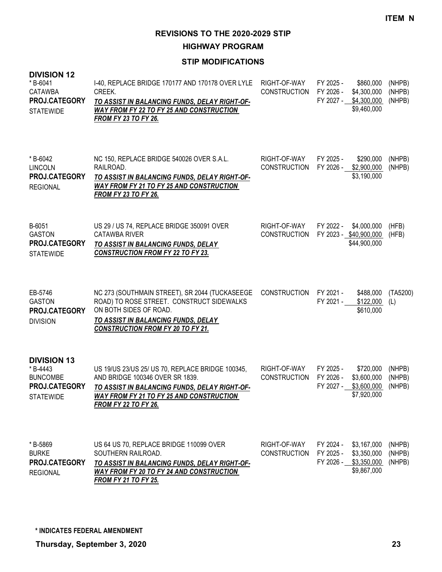**HIGHWAY PROGRAM**

| <b>DIVISION 12</b><br>*B-6041<br><b>CATAWBA</b><br>PROJ.CATEGORY<br><b>STATEWIDE</b>  | I-40, REPLACE BRIDGE 170177 AND 170178 OVER LYLE<br>CREEK.<br>TO ASSIST IN BALANCING FUNDS, DELAY RIGHT-OF-<br><b>WAY FROM FY 22 TO FY 25 AND CONSTRUCTION</b><br><b>FROM FY 23 TO FY 26.</b>                          | RIGHT-OF-WAY<br><b>CONSTRUCTION</b> | FY 2025 -<br>FY 2026 -<br>FY 2027 - | \$860,000<br>\$4,300,000<br>\$4,300,000<br>\$9,460,000             | (NHPB)<br>(NHPB)<br>(NHPB) |
|---------------------------------------------------------------------------------------|------------------------------------------------------------------------------------------------------------------------------------------------------------------------------------------------------------------------|-------------------------------------|-------------------------------------|--------------------------------------------------------------------|----------------------------|
| * B-6042<br><b>LINCOLN</b><br>PROJ.CATEGORY<br><b>REGIONAL</b>                        | NC 150, REPLACE BRIDGE 540026 OVER S.A.L.<br>RAILROAD.<br>TO ASSIST IN BALANCING FUNDS, DELAY RIGHT-OF-<br>WAY FROM FY 21 TO FY 25 AND CONSTRUCTION<br><b>FROM FY 23 TO FY 26.</b>                                     | RIGHT-OF-WAY<br><b>CONSTRUCTION</b> | FY 2025 -<br>FY 2026 -              | \$290,000<br>\$2,900,000<br>\$3,190,000                            | (NHPB)<br>(NHPB)           |
| B-6051<br><b>GASTON</b><br>PROJ.CATEGORY<br><b>STATEWIDE</b>                          | US 29 / US 74, REPLACE BRIDGE 350091 OVER<br><b>CATAWBA RIVER</b><br>TO ASSIST IN BALANCING FUNDS, DELAY<br><b>CONSTRUCTION FROM FY 22 TO FY 23.</b>                                                                   | RIGHT-OF-WAY<br><b>CONSTRUCTION</b> | FY 2022 -                           | \$4,000,000<br>FY 2023 - \$40,900,000<br>\$44,900,000              | (HFB)<br>(HFB)             |
| EB-5746<br><b>GASTON</b><br>PROJ.CATEGORY<br><b>DIVISION</b>                          | NC 273 (SOUTHMAIN STREET), SR 2044 (TUCKASEEGE<br>ROAD) TO ROSE STREET. CONSTRUCT SIDEWALKS<br>ON BOTH SIDES OF ROAD.<br>TO ASSIST IN BALANCING FUNDS, DELAY<br><b>CONSTRUCTION FROM FY 20 TO FY 21.</b>               | <b>CONSTRUCTION</b>                 | FY 2021 -<br>FY 2021 -              | \$488,000<br>\$122,000<br>\$610,000                                | (TA5200)<br>(L)            |
| <b>DIVISION 13</b><br>*B-4443<br><b>BUNCOMBE</b><br>PROJ.CATEGORY<br><b>STATEWIDE</b> | US 19/US 23/US 25/ US 70, REPLACE BRIDGE 100345,<br>AND BRIDGE 100346 OVER SR 1839.<br>TO ASSIST IN BALANCING FUNDS, DELAY RIGHT-OF-<br><u>WAY FROM FY 21 TO FY 25 AND CONSTRUCTION</u><br><b>FROM FY 22 TO FY 26.</b> | RIGHT-OF-WAY<br><b>CONSTRUCTION</b> | FY 2025 -<br>FY 2026 -<br>FY 2027 - | \$720,000<br>\$3,600,000<br>\$3,600,000<br>\$7,920,000             | (NHPB)<br>(NHPB)<br>(NHPB) |
| * B-5869<br><b>BURKE</b><br>PROJ.CATEGORY<br><b>REGIONAL</b>                          | US 64 US 70, REPLACE BRIDGE 110099 OVER<br>SOUTHERN RAILROAD.<br>TO ASSIST IN BALANCING FUNDS, DELAY RIGHT-OF-<br><b>WAY FROM FY 20 TO FY 24 AND CONSTRUCTION</b><br><b>FROM FY 21 TO FY 25.</b>                       | RIGHT-OF-WAY<br><b>CONSTRUCTION</b> | FY 2024 -<br>FY 2025 -              | \$3,167,000<br>\$3,350,000<br>FY 2026 - \$3,350,000<br>\$9,867,000 | (NHPB)<br>(NHPB)<br>(NHPB) |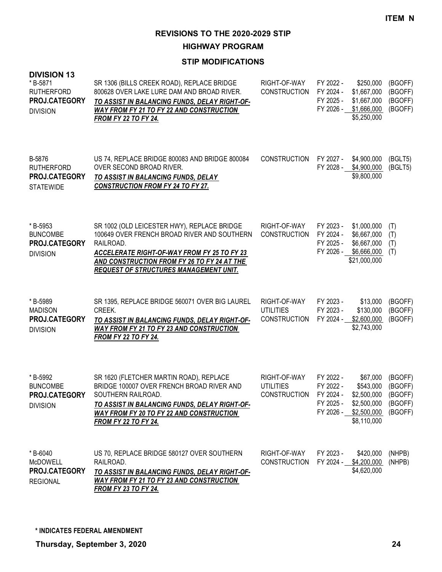**HIGHWAY PROGRAM**

#### **STIP MODIFICATIONS**

| טו דוטוטוזוע<br>*B-5871<br><b>RUTHERFORD</b><br>PROJ.CATEGORY<br><b>DIVISION</b> | SR 1306 (BILLS CREEK ROAD), REPLACE BRIDGE<br>800628 OVER LAKE LURE DAM AND BROAD RIVER.<br>TO ASSIST IN BALANCING FUNDS, DELAY RIGHT-OF-<br><b>WAY FROM FY 21 TO FY 22 AND CONSTRUCTION</b><br><b>FROM FY 22 TO FY 24.</b>                            | RIGHT-OF-WAY<br><b>CONSTRUCTION</b>                     | FY 2022 -<br>FY 2024 -<br>FY 2025 -<br>FY 2026 - | \$250,000<br>\$1,667,000<br>\$1,667,000<br>\$1,666,000<br>\$5,250,000                       | (BGOFF)<br>(BGOFF)<br>(BGOFF)<br>(BGOFF)            |
|----------------------------------------------------------------------------------|--------------------------------------------------------------------------------------------------------------------------------------------------------------------------------------------------------------------------------------------------------|---------------------------------------------------------|--------------------------------------------------|---------------------------------------------------------------------------------------------|-----------------------------------------------------|
| B-5876<br><b>RUTHERFORD</b><br>PROJ.CATEGORY<br><b>STATEWIDE</b>                 | US 74, REPLACE BRIDGE 800083 AND BRIDGE 800084<br>OVER SECOND BROAD RIVER.<br>TO ASSIST IN BALANCING FUNDS, DELAY<br><b>CONSTRUCTION FROM FY 24 TO FY 27.</b>                                                                                          | <b>CONSTRUCTION</b>                                     | FY 2027 -                                        | \$4,900,000<br>FY 2028 - \$4,900,000<br>\$9,800,000                                         | (BGLT5)<br>(BGLT5)                                  |
| * B-5953<br><b>BUNCOMBE</b><br>PROJ.CATEGORY<br><b>DIVISION</b>                  | SR 1002 (OLD LEICESTER HWY), REPLACE BRIDGE<br>100649 OVER FRENCH BROAD RIVER AND SOUTHERN<br>RAILROAD.<br>ACCELERATE RIGHT-OF-WAY FROM FY 25 TO FY 23<br>AND CONSTRUCTION FROM FY 26 TO FY 24 AT THE<br><b>REQUEST OF STRUCTURES MANAGEMENT UNIT.</b> | RIGHT-OF-WAY<br><b>CONSTRUCTION</b>                     | FY 2023 -<br>FY 2024 -<br>FY 2025 -<br>FY 2026 - | \$1,000,000<br>\$6,667,000<br>\$6,667,000<br>\$6,666,000<br>\$21,000,000                    | (T)<br>(T)<br>(T)<br>(T)                            |
| *B-5989<br><b>MADISON</b><br>PROJ.CATEGORY<br><b>DIVISION</b>                    | SR 1395, REPLACE BRIDGE 560071 OVER BIG LAUREL<br>CREEK.<br>TO ASSIST IN BALANCING FUNDS, DELAY RIGHT-OF-<br><b>WAY FROM FY 21 TO FY 23 AND CONSTRUCTION</b><br><b>FROM FY 22 TO FY 24.</b>                                                            | RIGHT-OF-WAY<br><b>UTILITIES</b><br><b>CONSTRUCTION</b> | FY 2023 -<br>FY 2023 -<br>FY 2024 -              | \$13,000<br>\$130,000<br>\$2,600,000<br>\$2,743,000                                         | (BGOFF)<br>(BGOFF)<br>(BGOFF)                       |
| * B-5992<br><b>BUNCOMBE</b><br>PROJ.CATEGORY<br><b>DIVISION</b>                  | SR 1620 (FLETCHER MARTIN ROAD), REPLACE<br>BRIDGE 100007 OVER FRENCH BROAD RIVER AND<br>SOUTHERN RAILROAD.<br>TO ASSIST IN BALANCING FUNDS, DELAY RIGHT-OF-<br><b>WAY FROM FY 20 TO FY 22 AND CONSTRUCTION</b><br><b>FROM FY 22 TO FY 24.</b>          | RIGHT-OF-WAY<br><b>UTILITIES</b><br><b>CONSTRUCTION</b> | FY 2022 -<br>FY 2022 -<br>FY 2024 -<br>FY 2025 - | \$67,000<br>\$543,000<br>\$2,500,000<br>\$2,500,000<br>FY 2026 - \$2,500,000<br>\$8,110,000 | (BGOFF)<br>(BGOFF)<br>(BGOFF)<br>(BGOFF)<br>(BGOFF) |
| * B-6040<br>McDOWELL<br>PROJ.CATEGORY<br><b>REGIONAL</b>                         | US 70, REPLACE BRIDGE 580127 OVER SOUTHERN<br>RAILROAD.<br>TO ASSIST IN BALANCING FUNDS, DELAY RIGHT-OF-<br><b>WAY FROM FY 21 TO FY 23 AND CONSTRUCTION</b><br><b>FROM FY 23 TO FY 24.</b>                                                             | RIGHT-OF-WAY<br><b>CONSTRUCTION</b>                     | FY 2023 -                                        | \$420,000<br>FY 2024 - \$4,200,000<br>\$4,620,000                                           | (NHPB)<br>(NHPB)                                    |

**DIVISION 13**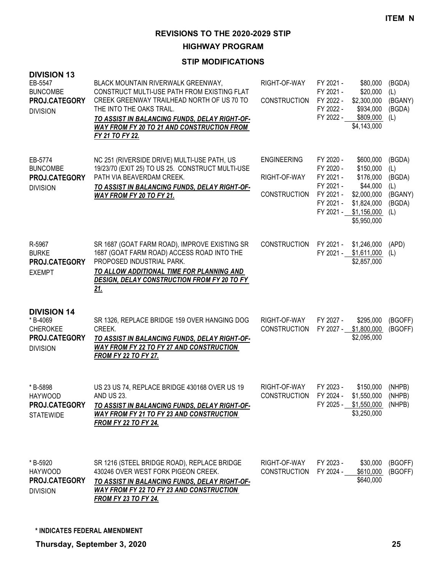**HIGHWAY PROGRAM**

| <b>DIVISION 13</b><br>EB-5547<br><b>BUNCOMBE</b><br>PROJ.CATEGORY<br><b>DIVISION</b> | BLACK MOUNTAIN RIVERWALK GREENWAY,<br>CONSTRUCT MULTI-USE PATH FROM EXISTING FLAT<br>CREEK GREENWAY TRAILHEAD NORTH OF US 70 TO<br>THE INTO THE OAKS TRAIL.<br>TO ASSIST IN BALANCING FUNDS, DELAY RIGHT-OF-<br><b>WAY FROM FY 20 TO 21 AND CONSTRUCTION FROM</b><br>FY 21 TO FY 22. | RIGHT-OF-WAY<br><b>CONSTRUCTION</b>                       | FY 2021 -<br>FY 2021 -<br>FY 2022 -<br>FY 2022 -<br>FY 2022 -                           | \$80,000<br>\$20,000<br>\$2,300,000<br>\$934,000<br>\$809,000<br>\$4,143,000                                | (BGDA)<br>(L)<br>(BGANY)<br>(BGDA)<br>(L)                  |
|--------------------------------------------------------------------------------------|--------------------------------------------------------------------------------------------------------------------------------------------------------------------------------------------------------------------------------------------------------------------------------------|-----------------------------------------------------------|-----------------------------------------------------------------------------------------|-------------------------------------------------------------------------------------------------------------|------------------------------------------------------------|
| EB-5774<br><b>BUNCOMBE</b><br>PROJ.CATEGORY<br><b>DIVISION</b>                       | NC 251 (RIVERSIDE DRIVE) MULTI-USE PATH, US<br>19/23/70 (EXIT 25) TO US 25. CONSTRUCT MULTI-USE<br>PATH VIA BEAVERDAM CREEK.<br>TO ASSIST IN BALANCING FUNDS, DELAY RIGHT-OF-<br>WAY FROM FY 20 TO FY 21.                                                                            | <b>ENGINEERING</b><br>RIGHT-OF-WAY<br><b>CONSTRUCTION</b> | FY 2020 -<br>FY 2020 -<br>FY 2021 -<br>FY 2021 -<br>FY 2021 -<br>FY 2021 -<br>FY 2021 - | \$600,000<br>\$150,000<br>\$176,000<br>\$44,000<br>\$2,000,000<br>\$1,824,000<br>\$1,156,000<br>\$5,950,000 | (BGDA)<br>(L)<br>(BGDA)<br>(L)<br>(BGANY)<br>(BGDA)<br>(L) |
| R-5967<br><b>BURKE</b><br>PROJ.CATEGORY<br><b>EXEMPT</b>                             | SR 1687 (GOAT FARM ROAD), IMPROVE EXISTING SR<br>1687 (GOAT FARM ROAD) ACCESS ROAD INTO THE<br>PROPOSED INDUSTRIAL PARK.<br>TO ALLOW ADDITIONAL TIME FOR PLANNING AND<br>DESIGN, DELAY CONSTRUCTION FROM FY 20 TO FY<br><u>21.</u>                                                   | <b>CONSTRUCTION</b>                                       | FY 2021 -<br>FY 2021 -                                                                  | \$1,246,000<br>\$1,611,000<br>\$2,857,000                                                                   | (APD)<br>(L)                                               |
| <b>DIVISION 14</b><br>*B-4069<br>CHEROKEE<br>PROJ.CATEGORY<br><b>DIVISION</b>        | SR 1326, REPLACE BRIDGE 159 OVER HANGING DOG<br>CREEK.<br>TO ASSIST IN BALANCING FUNDS, DELAY RIGHT-OF-<br><b>WAY FROM FY 22 TO FY 27 AND CONSTRUCTION</b><br><b>FROM FY 22 TO FY 27.</b>                                                                                            | RIGHT-OF-WAY<br><b>CONSTRUCTION</b>                       | FY 2027 -<br>FY 2027 -                                                                  | \$295,000<br>\$1,800,000<br>\$2,095,000                                                                     | (BGOFF)<br>(BGOFF)                                         |
| * B-5898<br><b>HAYWOOD</b><br>PROJ.CATEGORY<br><b>STATEWIDE</b>                      | US 23 US 74, REPLACE BRIDGE 430168 OVER US 19<br><b>AND US 23.</b><br>TO ASSIST IN BALANCING FUNDS, DELAY RIGHT-OF-<br><b>WAY FROM FY 21 TO FY 23 AND CONSTRUCTION</b><br><b>FROM FY 22 TO FY 24.</b>                                                                                | RIGHT-OF-WAY<br><b>CONSTRUCTION</b>                       | FY 2023 -<br>FY 2024 -                                                                  | \$150,000<br>\$1,550,000<br>FY 2025 - \$1,550,000<br>\$3,250,000                                            | (NHPB)<br>(NHPB)<br>(NHPB)                                 |
| * B-5920<br><b>HAYWOOD</b><br>PROJ.CATEGORY<br><b>DIVISION</b>                       | SR 1216 (STEEL BRIDGE ROAD), REPLACE BRIDGE<br>430246 OVER WEST FORK PIGEON CREEK.<br>TO ASSIST IN BALANCING FUNDS, DELAY RIGHT-OF-<br><b>WAY FROM FY 22 TO FY 23 AND CONSTRUCTION</b><br><b>FROM FY 23 TO FY 24.</b>                                                                | RIGHT-OF-WAY<br><b>CONSTRUCTION</b>                       | FY 2023 -<br>FY 2024 -                                                                  | \$30,000<br>\$610,000<br>\$640,000                                                                          | (BGOFF)<br>(BGOFF)                                         |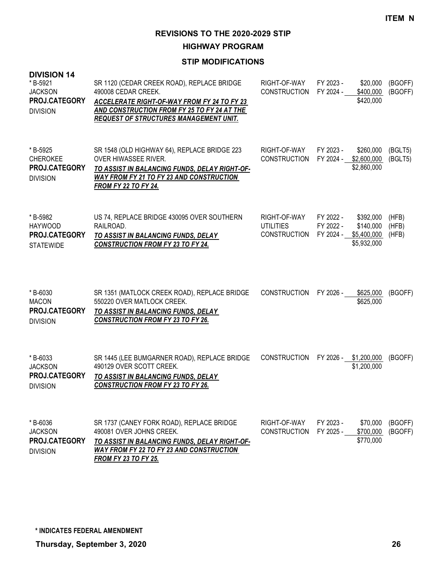**HIGHWAY PROGRAM**

#### **STIP MODIFICATIONS**

| <b>DIVISION 14</b><br>*B-5921<br><b>JACKSON</b><br>PROJ.CATEGORY<br><b>DIVISION</b> | SR 1120 (CEDAR CREEK ROAD), REPLACE BRIDGE<br>490008 CEDAR CREEK.<br><b>ACCELERATE RIGHT-OF-WAY FROM FY 24 TO FY 23</b><br>AND CONSTRUCTION FROM FY 25 TO FY 24 AT THE<br><b>REQUEST OF STRUCTURES MANAGEMENT UNIT.</b> | RIGHT-OF-WAY<br><b>CONSTRUCTION</b>                     | FY 2023 -<br>FY 2024 -              | \$20,000<br>\$400,000<br>\$420,000                   | (BGOFF)<br>(BGOFF)      |
|-------------------------------------------------------------------------------------|-------------------------------------------------------------------------------------------------------------------------------------------------------------------------------------------------------------------------|---------------------------------------------------------|-------------------------------------|------------------------------------------------------|-------------------------|
| *B-5925<br><b>CHEROKEE</b><br><b>PROJ.CATEGORY</b><br><b>DIVISION</b>               | SR 1548 (OLD HIGHWAY 64), REPLACE BRIDGE 223<br><b>OVER HIWASSEE RIVER.</b><br>TO ASSIST IN BALANCING FUNDS, DELAY RIGHT-OF-<br><b>WAY FROM FY 21 TO FY 23 AND CONSTRUCTION</b><br><b>FROM FY 22 TO FY 24.</b>          | RIGHT-OF-WAY<br><b>CONSTRUCTION</b>                     | FY 2023 -                           | \$260,000<br>FY 2024 - \$2,600,000<br>\$2,860,000    | (BGLT5)<br>(BGLT5)      |
| *B-5982<br><b>HAYWOOD</b><br>PROJ.CATEGORY<br><b>STATEWIDE</b>                      | US 74, REPLACE BRIDGE 430095 OVER SOUTHERN<br>RAILROAD.<br>TO ASSIST IN BALANCING FUNDS, DELAY<br><b>CONSTRUCTION FROM FY 23 TO FY 24.</b>                                                                              | RIGHT-OF-WAY<br><b>UTILITIES</b><br><b>CONSTRUCTION</b> | FY 2022 -<br>FY 2022 -<br>FY 2024 - | \$392,000<br>\$140,000<br>\$5,400,000<br>\$5,932,000 | (HFB)<br>(HFB)<br>(HFB) |
| *B-6030<br><b>MACON</b><br>PROJ.CATEGORY<br><b>DIVISION</b>                         | SR 1351 (MATLOCK CREEK ROAD), REPLACE BRIDGE<br>550220 OVER MATLOCK CREEK.<br>TO ASSIST IN BALANCING FUNDS, DELAY<br><b>CONSTRUCTION FROM FY 23 TO FY 26.</b>                                                           | <b>CONSTRUCTION</b>                                     | FY 2026 -                           | \$625,000<br>\$625,000                               | (BGOFF)                 |
| * B-6033<br><b>JACKSON</b><br>PROJ.CATEGORY<br><b>DIVISION</b>                      | SR 1445 (LEE BUMGARNER ROAD), REPLACE BRIDGE<br>490129 OVER SCOTT CREEK.<br>TO ASSIST IN BALANCING FUNDS, DELAY<br><b>CONSTRUCTION FROM FY 23 TO FY 26.</b>                                                             | <b>CONSTRUCTION</b>                                     |                                     | FY 2026 - \$1,200,000<br>\$1,200,000                 | (BGOFF)                 |
| *B-6036<br><b>JACKSON</b><br>PROJ.CATEGORY<br><b>DIVISION</b>                       | SR 1737 (CANEY FORK ROAD), REPLACE BRIDGE<br>490081 OVER JOHNS CREEK.<br>TO ASSIST IN BALANCING FUNDS, DELAY RIGHT-OF-<br><b>WAY FROM FY 22 TO FY 23 AND CONSTRUCTION</b>                                               | RIGHT-OF-WAY<br><b>CONSTRUCTION</b>                     | FY 2023 -<br>FY 2025 -              | \$70,000<br>\$700,000<br>\$770,000                   | (BGOFF)<br>(BGOFF)      |

*FROM FY 23 TO FY 25.*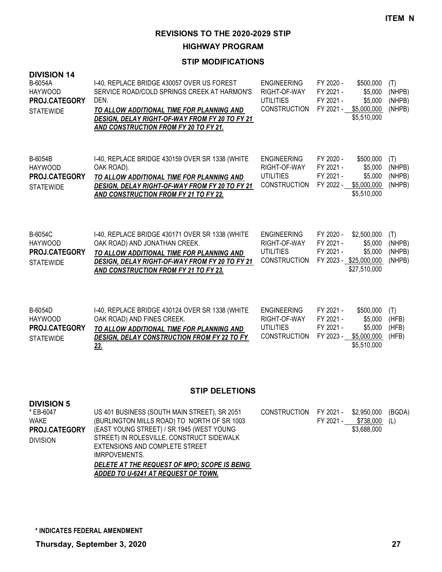**HIGHWAY PROGRAM**

#### **STIP MODIFICATIONS**

| <b>DIVISION 14</b><br>B-6054A<br><b>HAYWOOD</b><br>PROJ.CATEGORY<br><b>STATEWIDE</b> | I-40, REPLACE BRIDGE 430057 OVER US FOREST<br>SERVICE ROAD/COLD SPRINGS CREEK AT HARMON'S<br>DEN.<br>TO ALLOW ADDITIONAL TIME FOR PLANNING AND<br><b>DESIGN, DELAY RIGHT-OF-WAY FROM FY 20 TO FY 21</b><br>AND CONSTRUCTION FROM FY 20 TO FY 21. | <b>ENGINEERING</b><br>RIGHT-OF-WAY<br>UTILITIES<br><b>CONSTRUCTION</b>        | FY 2020 -<br>FY 2021 -<br>FY 2021 -<br>FY 2021 -              | \$500,000<br>\$5,000<br>\$5,000<br>\$5,000,000<br>\$5,510,000 | (T)<br>(NHPB)<br>(NHPB)<br>(NHPB) |
|--------------------------------------------------------------------------------------|--------------------------------------------------------------------------------------------------------------------------------------------------------------------------------------------------------------------------------------------------|-------------------------------------------------------------------------------|---------------------------------------------------------------|---------------------------------------------------------------|-----------------------------------|
| B-6054B<br><b>HAYWOOD</b><br><b>PROJ.CATEGORY</b><br><b>STATEWIDE</b>                | I-40, REPLACE BRIDGE 430159 OVER SR 1338 (WHITE<br>OAK ROAD).<br>TO ALLOW ADDITIONAL TIME FOR PLANNING AND<br><b>DESIGN. DELAY RIGHT-OF-WAY FROM FY 20 TO FY 21</b><br><b>AND CONSTRUCTION FROM FY 21 TO FY 22.</b>                              | <b>ENGINEERING</b><br>RIGHT-OF-WAY<br><b>UTILITIES</b><br><b>CONSTRUCTION</b> | FY 2020 -<br>FY 2021 -<br>FY 2021 -<br>FY 2022 -              | \$500,000<br>\$5,000<br>\$5,000<br>\$5,000,000<br>\$5,510,000 | (T)<br>(NHPB)<br>(NHPB)<br>(NHPB) |
| <b>B-6054C</b><br><b>HAYWOOD</b><br><b>PROJ.CATEGORY</b><br><b>STATEWIDE</b>         | I-40, REPLACE BRIDGE 430171 OVER SR 1338 (WHITE<br>OAK ROAD) AND JONATHAN CREEK.<br>TO ALLOW ADDITIONAL TIME FOR PLANNING AND<br>DESIGN, DELAY RIGHT-OF-WAY FROM FY 20 TO FY 21<br>AND CONSTRUCTION FROM FY 21 TO FY 23.                         | <b>ENGINEERING</b><br>RIGHT-OF-WAY<br><b>UTILITIES</b><br><b>CONSTRUCTION</b> | FY 2020 -<br>FY 2021 -<br>FY 2021 -<br>FY 2023 - \$25,000,000 | \$2,500,000<br>\$5,000<br>\$5,000<br>\$27,510,000             | (T)<br>(NHPB)<br>(NHPB)<br>(NHPB) |

| B-6054D              | I-40, REPLACE BRIDGE 430124 OVER SR 1338 (WHITE    | ENGINEERING            | FY 2021 - | $$500,000$ (T)    |       |
|----------------------|----------------------------------------------------|------------------------|-----------|-------------------|-------|
| HAYWOOD              | OAK ROAD) AND FINES CREEK.                         | RIGHT-OF-WAY           | FY 2021 - | \$5.000           | (HFB) |
| <b>PROJ.CATEGORY</b> | TO ALLOW ADDITIONAL TIME FOR PLANNING AND          | UTILITIES              | FY 2021 - | \$5.000           | (HFB) |
| <b>STATEWIDE</b>     | <b>DESIGN. DELAY CONSTRUCTION FROM FY 22 TO FY</b> | CONSTRUCTION FY 2023 - |           | \$5.000.000 (HFB) |       |
|                      | 23.                                                |                        |           | \$5.510.000       |       |

# **STIP DELETIONS**

| <b>DIVISION 5</b>    |                                              |                        |           |                    |  |
|----------------------|----------------------------------------------|------------------------|-----------|--------------------|--|
| * EB-6047            | US 401 BUSINESS (SOUTH MAIN STREET), SR 2051 | CONSTRUCTION FY 2021 - |           | \$2,950,000 (BGDA) |  |
| WAKE                 | (BURLINGTON MILLS ROAD) TO NORTH OF SR 1003  |                        | FY 2021 - | \$738,000 (L)      |  |
| <b>PROJ.CATEGORY</b> | (EAST YOUNG STREET) / SR 1945 (WEST YOUNG    |                        |           | \$3,688,000        |  |
| <b>DIVISION</b>      | STREET) IN ROLESVILLE. CONSTRUCT SIDEWALK    |                        |           |                    |  |
|                      | EXTENSIONS AND COMPLETE STREET               |                        |           |                    |  |
|                      | IMRPOVEMENTS.                                |                        |           |                    |  |
|                      | DELETE AT THE REQUEST OF MPO; SCOPE IS BEING |                        |           |                    |  |
|                      | ADDED TO U-6241 AT REQUEST OF TOWN.          |                        |           |                    |  |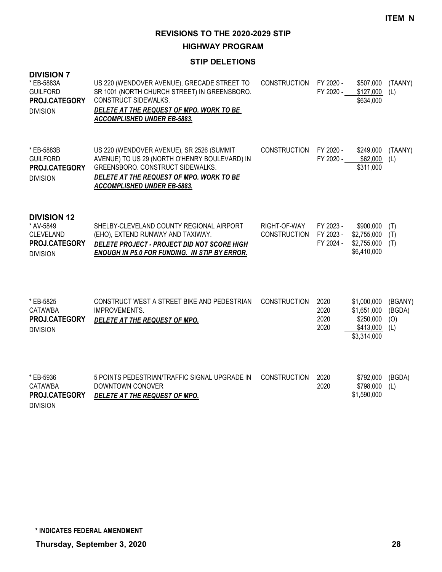**HIGHWAY PROGRAM**

#### **STIP DELETIONS**

| <b>DIVISION 7</b><br>* EB-5883A<br><b>GUILFORD</b><br>PROJ.CATEGORY<br><b>DIVISION</b>  | US 220 (WENDOVER AVENUE), GRECADE STREET TO<br>SR 1001 (NORTH CHURCH STREET) IN GREENSBORO.<br>CONSTRUCT SIDEWALKS.<br>DELETE AT THE REQUEST OF MPO. WORK TO BE<br>ACCOMPLISHED UNDER EB-5883.                   | CONSTRUCTION                        | FY 2020 -<br>FY 2020 -              | \$507,000<br>\$127,000<br>\$634,000                                 | (TAANY)<br>(L)                  |
|-----------------------------------------------------------------------------------------|------------------------------------------------------------------------------------------------------------------------------------------------------------------------------------------------------------------|-------------------------------------|-------------------------------------|---------------------------------------------------------------------|---------------------------------|
| * EB-5883B<br><b>GUILFORD</b><br>PROJ.CATEGORY<br><b>DIVISION</b>                       | US 220 (WENDOVER AVENUE), SR 2526 (SUMMIT<br>AVENUE) TO US 29 (NORTH O'HENRY BOULEVARD) IN<br>GREENSBORO, CONSTRUCT SIDEWALKS.<br>DELETE AT THE REQUEST OF MPO. WORK TO BE<br><b>ACCOMPLISHED UNDER EB-5883.</b> | <b>CONSTRUCTION</b>                 | FY 2020 -<br>FY 2020 -              | \$249,000<br>\$62,000<br>\$311,000                                  | (TAANY)<br>(L)                  |
| <b>DIVISION 12</b><br>* AV-5849<br><b>CLEVELAND</b><br>PROJ.CATEGORY<br><b>DIVISION</b> | SHELBY-CLEVELAND COUNTY REGIONAL AIRPORT<br>(EHO), EXTEND RUNWAY AND TAXIWAY.<br>DELETE PROJECT - PROJECT DID NOT SCORE HIGH<br><b>ENOUGH IN P5.0 FOR FUNDING. IN STIP BY ERROR.</b>                             | RIGHT-OF-WAY<br><b>CONSTRUCTION</b> | FY 2023 -<br>FY 2023 -<br>FY 2024 - | \$900,000<br>\$2,755,000<br>\$2,755,000<br>\$6,410,000              | (T)<br>(T)<br>(T)               |
| * EB-5825<br><b>CATAWBA</b><br>PROJ.CATEGORY<br><b>DIVISION</b>                         | CONSTRUCT WEST A STREET BIKE AND PEDESTRIAN<br><b>IMPROVEMENTS.</b><br>DELETE AT THE REQUEST OF MPO.                                                                                                             | <b>CONSTRUCTION</b>                 | 2020<br>2020<br>2020<br>2020        | \$1,000,000<br>\$1,651,000<br>\$250,000<br>\$413,000<br>\$3,314,000 | (BGANY)<br>(BGDA)<br>(O)<br>(L) |
| * EB-5936<br>CATAWBA<br>PROJ.CATEGORY<br><b>DIVISION</b>                                | 5 POINTS PEDESTRIAN/TRAFFIC SIGNAL UPGRADE IN<br>DOWNTOWN CONOVER<br>DELETE AT THE REQUEST OF MPO.                                                                                                               | <b>CONSTRUCTION</b>                 | 2020<br>2020                        | \$792,000<br>\$798,000<br>\$1,590,000                               | (BGDA)<br>(L)                   |